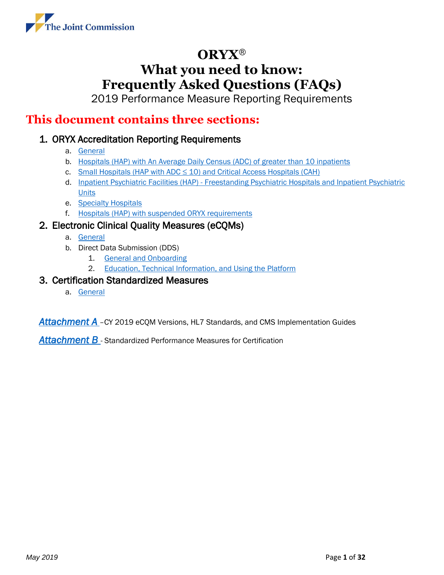

2019 Performance Measure Reporting Requirements

### <span id="page-0-0"></span>**This document contains three sections:**

### 1. ORYX Accreditation Reporting Requirements

- a. [General](#page-1-0)
- b. [Hospitals \(HAP\) with An Average Daily Census](#page-7-0) (ADC) of greater than 10 inpatients
- c. Small Hospitals (HAP with ADC  $\leq$  10) and Critical Access Hospitals (CAH)
- d. Inpatient Psychiatric Facilities (HAP) [Freestanding Psychiatric Hospitals and Inpatient Psychiatric](#page-10-0)  **[Units](#page-10-0)**
- e. [Specialty Hospitals](#page-11-0)
- f. [Hospitals \(HAP\) with suspended ORYX requirements](#page-12-0)

### 2. Electronic Clinical Quality Measures (eCQMs)

- a. [General](#page-13-0)
- b. Direct Data Submission (DDS)
	- 1. [General and Onboarding](#page-17-0)
	- 2. [Education, Technical Information, and Using the Platform](#page-23-0)

### 3. Certification Standardized Measures

a. [General](#page-26-0)

[Attachment A](#page-27-0)<sub>-</sub>CY 2019 eCQM Versions, HL7 Standards, and CMS Implementation Guides

*[Attachment B](#page-29-0)* - Standardized Performance Measures for Certification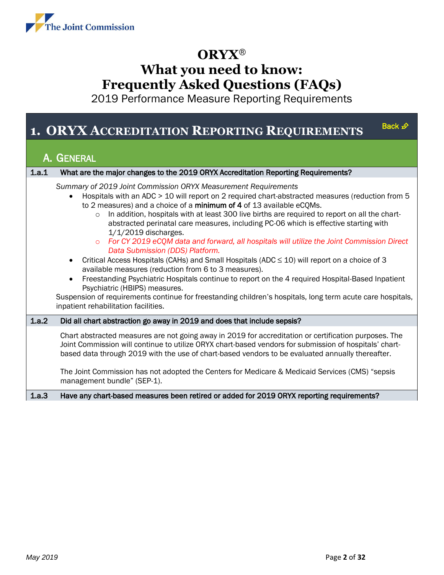

2019 Performance Measure Reporting Requirements

### **1. ORYX ACCREDITATION REPORTING REQUIREM[ENTS](#page-0-0)**

### <span id="page-1-0"></span>A. GENERAL

| 1.a.1 | What are the major changes to the 2019 ORYX Accreditation Reporting Requirements?                                                                                                                                                                                                                                                                                                                                                                                                                                                                                                                                                                                                                                                                                                                                                                                                                                                                                                                                                                                            |
|-------|------------------------------------------------------------------------------------------------------------------------------------------------------------------------------------------------------------------------------------------------------------------------------------------------------------------------------------------------------------------------------------------------------------------------------------------------------------------------------------------------------------------------------------------------------------------------------------------------------------------------------------------------------------------------------------------------------------------------------------------------------------------------------------------------------------------------------------------------------------------------------------------------------------------------------------------------------------------------------------------------------------------------------------------------------------------------------|
|       | Summary of 2019 Joint Commission ORYX Measurement Requirements<br>Hospitals with an ADC > 10 will report on 2 required chart-abstracted measures (reduction from 5<br>to 2 measures) and a choice of a minimum of 4 of 13 available eCQMs.<br>In addition, hospitals with at least 300 live births are required to report on all the chart-<br>$\circ$<br>abstracted perinatal care measures, including PC-06 which is effective starting with<br>$1/1/2019$ discharges.<br>For CY 2019 eCQM data and forward, all hospitals will utilize the Joint Commission Direct<br>$\Omega$<br>Data Submission (DDS) Platform.<br>Critical Access Hospitals (CAHs) and Small Hospitals (ADC $\leq$ 10) will report on a choice of 3<br>available measures (reduction from 6 to 3 measures).<br>Freestanding Psychiatric Hospitals continue to report on the 4 required Hospital-Based Inpatient<br>Psychiatric (HBIPS) measures.<br>Suspension of requirements continue for freestanding children's hospitals, long term acute care hospitals,<br>inpatient rehabilitation facilities. |
| 1.a.2 | Did all chart abstraction go away in 2019 and does that include sepsis?                                                                                                                                                                                                                                                                                                                                                                                                                                                                                                                                                                                                                                                                                                                                                                                                                                                                                                                                                                                                      |
|       | Chart abstracted measures are not going away in 2019 for accreditation or certification purposes. The<br>Joint Commission will continue to utilize ORYX chart-based vendors for submission of hospitals' chart-<br>based data through 2019 with the use of chart-based vendors to be evaluated annually thereafter.<br>The Joint Commission has not adopted the Centers for Medicare & Medicaid Services (CMS) "sepsis<br>management bundle" (SEP-1).                                                                                                                                                                                                                                                                                                                                                                                                                                                                                                                                                                                                                        |
| 1.a.3 | Have any chart-based measures been retired or added for 2019 ORYX reporting requirements?                                                                                                                                                                                                                                                                                                                                                                                                                                                                                                                                                                                                                                                                                                                                                                                                                                                                                                                                                                                    |

Back  $\mathcal{D}$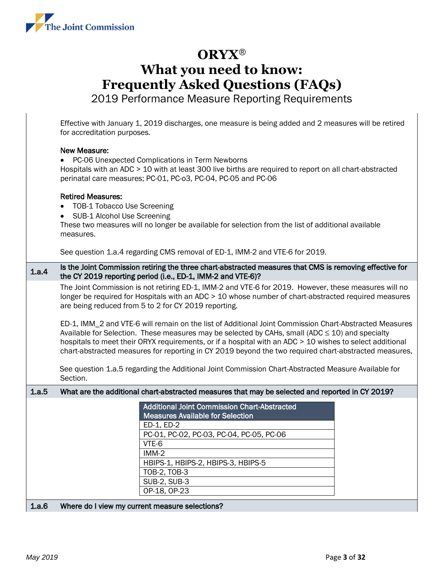

2019 Performance Measure Reporting Requirements

Effective with January 1, 2019 discharges, one measure is being added and 2 measures will be retired for accreditation purposes.

#### New Measure:

• PC-06 Unexpected Complications in Term Newborns

Hospitals with an ADC > 10 with at least 300 live births are required to report on all chart-abstracted perinatal care measures; PC-01, PC-o3, PC-04, PC-05 and PC-06

#### Retired Measures:

- TOB-1 Tobacco Use Screening
- SUB-1 Alcohol Use Screening

These two measures will no longer be available for selection from the list of additional available measures.

See question 1.a.4 regarding CMS removal of ED-1, IMM-2 and VTE-6 for 2019.

#### 1.a.4 Is the Joint Commission retiring the three chart-abstracted measures that CMS is removing effective for the CY 2019 reporting period (i.e., ED-1, IMM-2 and VTE-6)?

The Joint Commission is not retiring ED-1, IMM-2 and VTE-6 for 2019. However, these measures will no longer be required for Hospitals with an ADC > 10 whose number of chart-abstracted required measures are being reduced from 5 to 2 for CY 2019 reporting.

ED-1, IMM\_2 and VTE-6 will remain on the list of Additional Joint Commission Chart-Abstracted Measures Available for Selection. These measures may be selected by CAHs, small (ADC  $\leq$  10) and specialty hospitals to meet their ORYX requirements, or if a hospital with an ADC > 10 wishes to select additional chart-abstracted measures for reporting in CY 2019 beyond the two required chart-abstracted measures,

See question 1.a.5 regarding the Additional Joint Commission Chart-Abstracted Measure Available for Section.

#### 1.a.5 What are the additional chart-abstracted measures that may be selected and reported in CY 2019?

|                                                      | <b>Additional Joint Commission Chart-Abstracted</b><br><b>Measures Available for Selection</b> |
|------------------------------------------------------|------------------------------------------------------------------------------------------------|
|                                                      | ED-1, ED-2                                                                                     |
|                                                      | PC-01, PC-02, PC-03, PC-04, PC-05, PC-06                                                       |
|                                                      | VTE-6                                                                                          |
|                                                      | $IMM-2$                                                                                        |
|                                                      | HBIPS-1, HBIPS-2, HBIPS-3, HBIPS-5                                                             |
|                                                      | TOB-2, TOB-3                                                                                   |
|                                                      | <b>SUB-2, SUB-3</b>                                                                            |
|                                                      | OP-18, OP-23                                                                                   |
| Whore do Lyiow my ourrant mogeure cologianc?<br>1.0C |                                                                                                |

#### 1.a.6 Where do I view my current measure selections?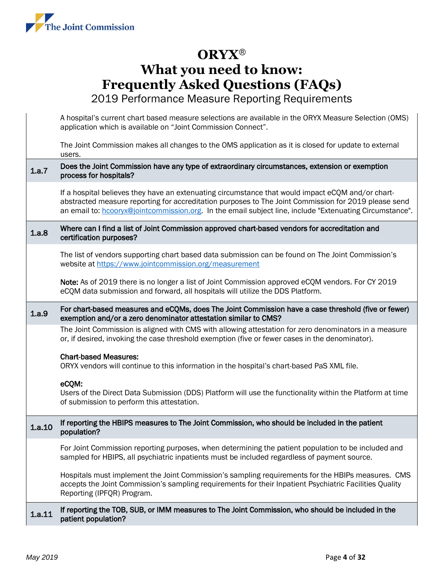

|        | A hospital's current chart based measure selections are available in the ORYX Measure Selection (OMS)<br>application which is available on "Joint Commission Connect".                                                                                                                                                |
|--------|-----------------------------------------------------------------------------------------------------------------------------------------------------------------------------------------------------------------------------------------------------------------------------------------------------------------------|
|        | The Joint Commission makes all changes to the OMS application as it is closed for update to external<br>users.                                                                                                                                                                                                        |
| 1a.7   | Does the Joint Commission have any type of extraordinary circumstances, extension or exemption<br>process for hospitals?                                                                                                                                                                                              |
|        | If a hospital believes they have an extenuating circumstance that would impact eCQM and/or chart-<br>abstracted measure reporting for accreditation purposes to The Joint Commission for 2019 please send<br>an email to: hcooryx@jointcommission.org. In the email subject line, include "Extenuating Circumstance". |
| 1.a.8  | Where can I find a list of Joint Commission approved chart-based vendors for accreditation and<br>certification purposes?                                                                                                                                                                                             |
|        | The list of vendors supporting chart based data submission can be found on The Joint Commission's<br>website at https://www.jointcommission.org/measurement                                                                                                                                                           |
|        | Note: As of 2019 there is no longer a list of Joint Commission approved eCQM vendors. For CY 2019<br>eCQM data submission and forward, all hospitals will utilize the DDS Platform.                                                                                                                                   |
| 1.a.9  | For chart-based measures and eCQMs, does The Joint Commission have a case threshold (five or fewer)<br>exemption and/or a zero denominator attestation similar to CMS?                                                                                                                                                |
|        | The Joint Commission is aligned with CMS with allowing attestation for zero denominators in a measure<br>or, if desired, invoking the case threshold exemption (five or fewer cases in the denominator).                                                                                                              |
|        | <b>Chart-based Measures:</b><br>ORYX vendors will continue to this information in the hospital's chart-based PaS XML file.                                                                                                                                                                                            |
|        | eCQM:<br>Users of the Direct Data Submission (DDS) Platform will use the functionality within the Platform at time<br>of submission to perform this attestation.                                                                                                                                                      |
| 1.a.10 | If reporting the HBIPS measures to The Joint Commission, who should be included in the patient<br>population?                                                                                                                                                                                                         |
|        | For Joint Commission reporting purposes, when determining the patient population to be included and<br>sampled for HBIPS, all psychiatric inpatients must be included regardless of payment source.                                                                                                                   |
|        | Hospitals must implement the Joint Commission's sampling requirements for the HBIPs measures. CMS<br>accepts the Joint Commission's sampling requirements for their Inpatient Psychiatric Facilities Quality<br>Reporting (IPFQR) Program.                                                                            |
| 1.a.11 | If reporting the TOB, SUB, or IMM measures to The Joint Commission, who should be included in the<br>patient population?                                                                                                                                                                                              |
|        |                                                                                                                                                                                                                                                                                                                       |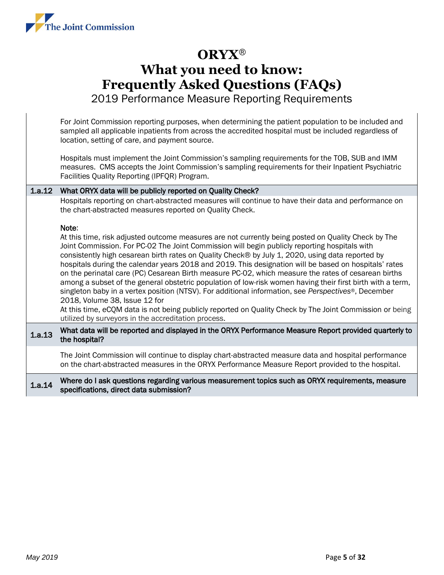

2019 Performance Measure Reporting Requirements

For Joint Commission reporting purposes, when determining the patient population to be included and sampled all applicable inpatients from across the accredited hospital must be included regardless of location, setting of care, and payment source.

Hospitals must implement the Joint Commission's sampling requirements for the TOB, SUB and IMM measures. CMS accepts the Joint Commission's sampling requirements for their Inpatient Psychiatric Facilities Quality Reporting (IPFQR) Program.

#### 1.a.12 What ORYX data will be publicly reported on Quality Check?

Hospitals reporting on chart-abstracted measures will continue to have their data and performance on the chart-abstracted measures reported on Quality Check.

#### Note:

At this time, risk adjusted outcome measures are not currently being posted on Quality Check by The Joint Commission. For PC-02 The Joint Commission will begin publicly reporting hospitals with consistently high cesarean birth rates on Quality Check® by July 1, 2020, using data reported by hospitals during the calendar years 2018 and 2019. This designation will be based on hospitals' rates on the perinatal care (PC) Cesarean Birth measure PC-02, which measure the rates of cesarean births among a subset of the general obstetric population of low-risk women having their first birth with a term, singleton baby in a vertex position (NTSV). For additional information, see *Perspectives*®, December 2018, Volume 38, Issue 12 for

At this time, eCQM data is not being publicly reported on Quality Check by The Joint Commission or being utilized by surveyors in the accreditation process.

#### 1.a.13 What data will be reported and displayed in the ORYX Performance Measure Report provided quarterly to the hospital?

The Joint Commission will continue to display chart-abstracted measure data and hospital performance on the chart-abstracted measures in the ORYX Performance Measure Report provided to the hospital.

#### 1.a.14 Where do I ask questions regarding various measurement topics such as ORYX requirements, measure specifications, direct data submission?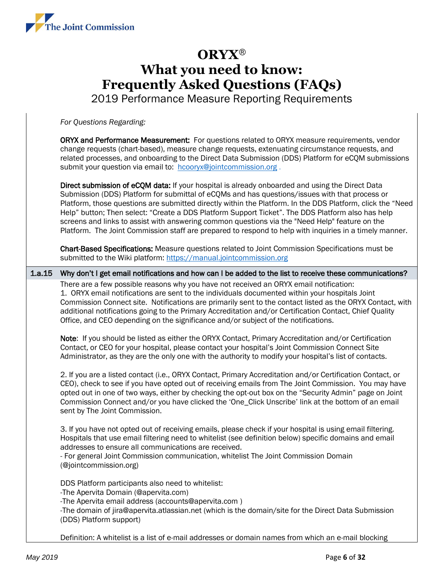

2019 Performance Measure Reporting Requirements

*For Questions Regarding:* 

ORYX and Performance Measurement: For questions related to ORYX measure requirements, vendor change requests (chart-based), measure change requests, extenuating circumstance requests, and related processes, and onboarding to the Direct Data Submission (DDS) Platform for eCQM submissions submit your question via email to: [hcooryx@jointcommission.org](mailto:hcooryx@jointcommission.org).

Direct submission of eCOM data: If your hospital is already onboarded and using the Direct Data Submission (DDS) Platform for submittal of eCQMs and has questions/issues with that process or Platform, those questions are submitted directly within the Platform. In the DDS Platform, click the "Need Help" button; Then select: "Create a DDS Platform Support Ticket". The DDS Platform also has help screens and links to assist with answering common questions via the "Need Help" feature on the Platform. The Joint Commission staff are prepared to respond to help with inquiries in a timely manner.

Chart-Based Specifications: Measure questions related to Joint Commission Specifications must be submitted to the Wiki platform: https://manual.jointcommission.org

1.a.15 Why don't I get email notifications and how can I be added to the list to receive these communications?

There are a few possible reasons why you have not received an ORYX email notification: 1. ORYX email notifications are sent to the individuals documented within your hospitals Joint Commission Connect site. Notifications are primarily sent to the contact listed as the ORYX Contact, with additional notifications going to the Primary Accreditation and/or Certification Contact, Chief Quality Office, and CEO depending on the significance and/or subject of the notifications.

Note: If you should be listed as either the ORYX Contact, Primary Accreditation and/or Certification Contact, or CEO for your hospital, please contact your hospital's Joint Commission Connect Site Administrator, as they are the only one with the authority to modify your hospital's list of contacts.

2. If you are a listed contact (i.e., ORYX Contact, Primary Accreditation and/or Certification Contact, or CEO), check to see if you have opted out of receiving emails from The Joint Commission. You may have opted out in one of two ways, either by checking the opt-out box on the "Security Admin" page on Joint Commission Connect and/or you have clicked the 'One\_Click Unscribe' link at the bottom of an email sent by The Joint Commission.

3. If you have not opted out of receiving emails, please check if your hospital is using email filtering. Hospitals that use email filtering need to whitelist (see definition below) specific domains and email addresses to ensure all communications are received.

- For general Joint Commission communication, whitelist The Joint Commission Domain (@jointcommission.org)

DDS Platform participants also need to whitelist:

-The Apervita Domain (@apervita.com)

-The Apervita email address (accounts@apervita.com )

-The domain of jira@apervita.atlassian.net (which is the domain/site for the Direct Data Submission (DDS) Platform support)

Definition: A whitelist is a list of e-mail addresses or domain names from which an e-mail blocking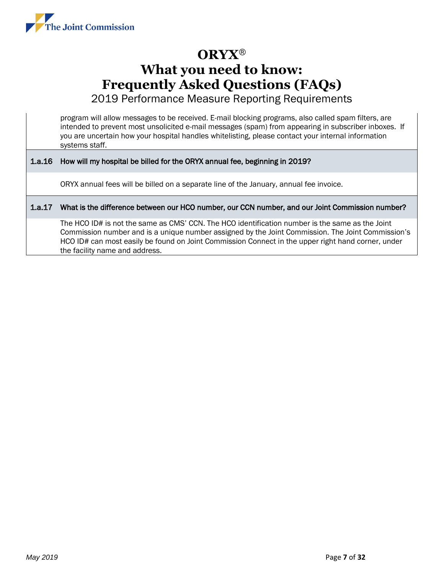

2019 Performance Measure Reporting Requirements

program will allow messages to be received. E-mail blocking programs, also called spam filters, are intended to prevent most unsolicited e-mail messages (spam) from appearing in subscriber inboxes. If you are uncertain how your hospital handles whitelisting, please contact your internal information systems staff.

#### 1.a.16 How will my hospital be billed for the ORYX annual fee, beginning in 2019?

ORYX annual fees will be billed on a separate line of the January, annual fee invoice.

#### 1.a.17 What is the difference between our HCO number, our CCN number, and our Joint Commission number?

The HCO ID# is not the same as CMS' CCN. The HCO identification number is the same as the Joint Commission number and is a unique number assigned by the Joint Commission. The Joint Commission's HCO ID# can most easily be found on Joint Commission Connect in the upper right hand corner, under the facility name and address.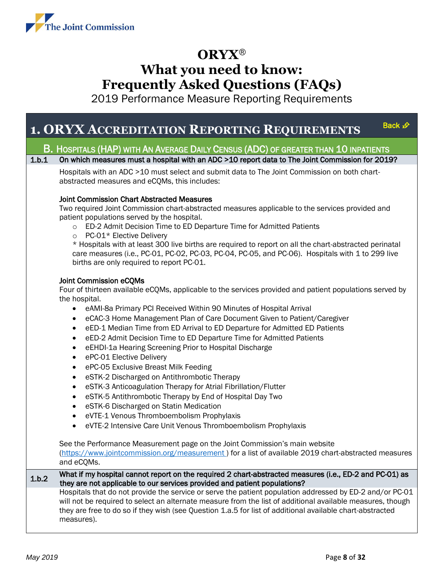

2019 Performance Measure Reporting Requirements

### **1. ORYX ACCREDITATION REPORTING REQUIREMENTS**

[Back](#page-0-0) £

### <span id="page-7-0"></span>B. HOSPITALS (HAP) WITH AN AVERAGE DAILY CENSUS (ADC) OF GREATER THAN 10 INPATIENTS

1.b.1 On which measures must a hospital with an ADC >10 report data to The Joint Commission for 2019?

Hospitals with an ADC >10 must select and submit data to The Joint Commission on both chartabstracted measures and eCQMs, this includes:

#### Joint Commission Chart Abstracted Measures

Two required Joint Commission chart-abstracted measures applicable to the services provided and patient populations served by the hospital.

- o ED-2 Admit Decision Time to ED Departure Time for Admitted Patients
- o PC-01\* Elective Delivery

\* Hospitals with at least 300 live births are required to report on all the chart-abstracted perinatal care measures (i.e., PC-01, PC-02, PC-03, PC-04, PC-05, and PC-06). Hospitals with 1 to 299 live births are only required to report PC-01.

#### Joint Commission eCQMs

Four of thirteen available eCQMs, applicable to the services provided and patient populations served by the hospital.

- eAMI-8a Primary PCI Received Within 90 Minutes of Hospital Arrival
- eCAC-3 Home Management Plan of Care Document Given to Patient/Caregiver
- eED-1 Median Time from ED Arrival to ED Departure for Admitted ED Patients
- eED-2 Admit Decision Time to ED Departure Time for Admitted Patients
- eEHDI-1a Hearing Screening Prior to Hospital Discharge
- ePC-01 Elective Delivery
- ePC-05 Exclusive Breast Milk Feeding
- eSTK-2 Discharged on Antithrombotic Therapy
- eSTK-3 Anticoagulation Therapy for Atrial Fibrillation/Flutter
- eSTK-5 Antithrombotic Therapy by End of Hospital Day Two
- eSTK-6 Discharged on Statin Medication
- eVTE-1 Venous Thromboembolism Prophylaxis
- eVTE-2 Intensive Care Unit Venous Thromboembolism Prophylaxis

See the Performance Measurement page on the Joint Commission's main website (https://www.jointcommission.org/measurement) for a list of available 2019 chart-abstracted measures and eCQMs.

1.b.2 What if my hospital cannot report on the required 2 chart-abstracted measures (i.e., ED-2 and PC-01) as they are not applicable to our services provided and patient populations?

Hospitals that do not provide the service or serve the patient population addressed by ED-2 and/or PC-01 will not be required to select an alternate measure from the list of additional available measures, though they are free to do so if they wish (see Question 1.a.5 for list of additional available chart-abstracted measures).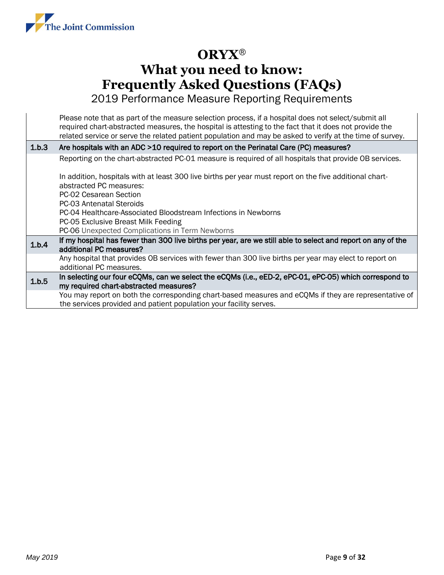

|       | Please note that as part of the measure selection process, if a hospital does not select/submit all<br>required chart-abstracted measures, the hospital is attesting to the fact that it does not provide the<br>related service or serve the related patient population and may be asked to verify at the time of survey. |
|-------|----------------------------------------------------------------------------------------------------------------------------------------------------------------------------------------------------------------------------------------------------------------------------------------------------------------------------|
| 1.b.3 | Are hospitals with an ADC >10 required to report on the Perinatal Care (PC) measures?                                                                                                                                                                                                                                      |
|       | Reporting on the chart-abstracted PC-01 measure is required of all hospitals that provide OB services.                                                                                                                                                                                                                     |
|       | In addition, hospitals with at least 300 live births per year must report on the five additional chart-                                                                                                                                                                                                                    |
|       | abstracted PC measures:                                                                                                                                                                                                                                                                                                    |
|       | PC-02 Cesarean Section                                                                                                                                                                                                                                                                                                     |
|       | PC-03 Antenatal Steroids                                                                                                                                                                                                                                                                                                   |
|       | PC-04 Healthcare-Associated Bloodstream Infections in Newborns                                                                                                                                                                                                                                                             |
|       | PC-05 Exclusive Breast Milk Feeding                                                                                                                                                                                                                                                                                        |
|       | PC-06 Unexpected Complications in Term Newborns                                                                                                                                                                                                                                                                            |
| 1.b.4 | If my hospital has fewer than 300 live births per year, are we still able to select and report on any of the<br>additional PC measures?                                                                                                                                                                                    |
|       | Any hospital that provides OB services with fewer than 300 live births per year may elect to report on<br>additional PC measures.                                                                                                                                                                                          |
| 1.b.5 | In selecting our four eCQMs, can we select the eCQMs (i.e., eED-2, ePC-01, ePC-05) which correspond to                                                                                                                                                                                                                     |
|       | my required chart-abstracted measures?                                                                                                                                                                                                                                                                                     |
|       | You may report on both the corresponding chart-based measures and eCQMs if they are representative of                                                                                                                                                                                                                      |
|       | the services provided and patient population your facility serves.                                                                                                                                                                                                                                                         |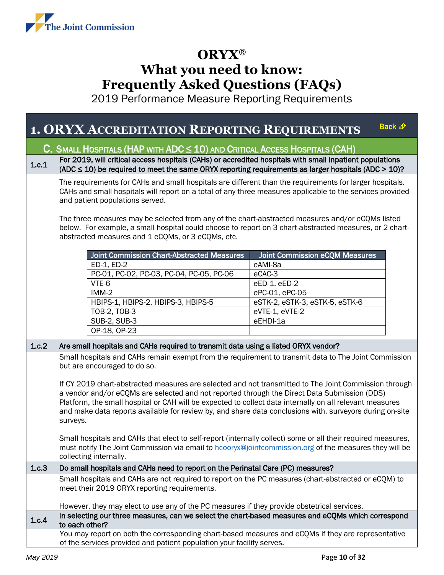

2019 Performance Measure Reporting Requirements

### <span id="page-9-0"></span>**1. ORYX ACCREDITATION REPORTING REQUIREM[ENTS](#page-0-0)**

Back £

### C. SMALL HOSPITALS (HAP WITH ADC  $\leq 10$ ) and Critical Access Hospitals (CAH)

1.c.1 For 2019, will critical access hospitals (CAHs) or accredited hospitals with small inpatient populations (ADC  $\leq$  10) be required to meet the same ORYX reporting requirements as larger hospitals (ADC > 10)?

The requirements for CAHs and small hospitals are different than the requirements for larger hospitals. CAHs and small hospitals will report on a total of any three measures applicable to the services provided and patient populations served.

The three measures may be selected from any of the chart-abstracted measures and/or eCQMs listed below. For example, a small hospital could choose to report on 3 chart-abstracted measures, or 2 chartabstracted measures and 1 eCQMs, or 3 eCQMs, etc.

| <b>Joint Commission Chart-Abstracted Measures</b> | <b>Joint Commission eCQM Measures</b> |
|---------------------------------------------------|---------------------------------------|
| ED-1, ED-2                                        | eAMI-8a                               |
| PC-01, PC-02, PC-03, PC-04, PC-05, PC-06          | eCAC-3                                |
| VTE-6                                             | eED-1, eED-2                          |
| $IMM-2$                                           | ePC-01, ePC-05                        |
| HBIPS-1, HBIPS-2, HBIPS-3, HBIPS-5                | eSTK-2, eSTK-3, eSTK-5, eSTK-6        |
| TOB-2, TOB-3                                      | eVTE-1, eVTE-2                        |
| <b>SUB-2, SUB-3</b>                               | eEHDI-1a                              |
| OP-18, OP-23                                      |                                       |

#### 1.c.2 Are small hospitals and CAHs required to transmit data using a listed ORYX vendor?

Small hospitals and CAHs remain exempt from the requirement to transmit data to The Joint Commission but are encouraged to do so.

If CY 2019 chart-abstracted measures are selected and not transmitted to The Joint Commission through a vendor and/or eCQMs are selected and not reported through the Direct Data Submission (DDS) Platform, the small hospital or CAH will be expected to collect data internally on all relevant measures and make data reports available for review by, and share data conclusions with, surveyors during on-site surveys.

Small hospitals and CAHs that elect to self-report (internally collect) some or all their required measures, must notify The Joint Commission via email to **hcooryx@jointcommission.org** of the measures they will be collecting internally.

#### 1.c.3 Do small hospitals and CAHs need to report on the Perinatal Care (PC) measures?

Small hospitals and CAHs are not required to report on the PC measures (chart-abstracted or eCQM) to meet their 2019 ORYX reporting requirements.

However, they may elect to use any of the PC measures if they provide obstetrical services.

1.c.4 In selecting our three measures, can we select the chart-based measures and eCQMs which correspond to each other?

You may report on both the corresponding chart-based measures and eCQMs if they are representative of the services provided and patient population your facility serves.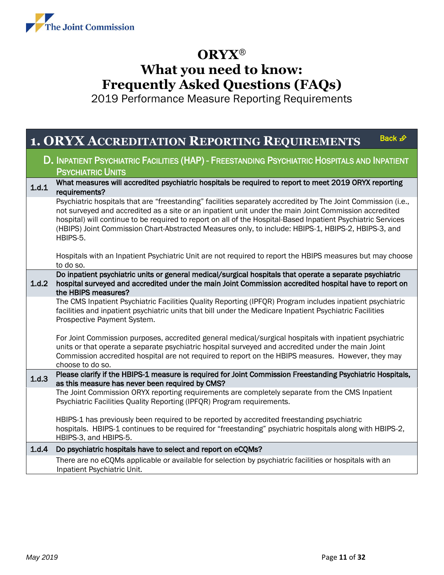

<span id="page-10-0"></span>

|       | Back £<br><b>1. ORYX ACCREDITATION REPORTING REQUIREMENTS</b>                                                                                                                                                                                                                                                                                                                                                                                             |
|-------|-----------------------------------------------------------------------------------------------------------------------------------------------------------------------------------------------------------------------------------------------------------------------------------------------------------------------------------------------------------------------------------------------------------------------------------------------------------|
|       | D. INPATIENT PSYCHIATRIC FACILITIES (HAP) - FREESTANDING PSYCHIATRIC HOSPITALS AND INPATIENT<br><b>PSYCHIATRIC UNITS</b>                                                                                                                                                                                                                                                                                                                                  |
| 1.d.1 | What measures will accredited psychiatric hospitals be required to report to meet 2019 ORYX reporting<br>requirements?                                                                                                                                                                                                                                                                                                                                    |
|       | Psychiatric hospitals that are "freestanding" facilities separately accredited by The Joint Commission (i.e.,<br>not surveyed and accredited as a site or an inpatient unit under the main Joint Commission accredited<br>hospital) will continue to be required to report on all of the Hospital-Based Inpatient Psychiatric Services<br>(HBIPS) Joint Commission Chart-Abstracted Measures only, to include: HBIPS-1, HBIPS-2, HBIPS-3, and<br>HBIPS-5. |
|       | Hospitals with an Inpatient Psychiatric Unit are not required to report the HBIPS measures but may choose<br>to do so.                                                                                                                                                                                                                                                                                                                                    |
| 1.d.2 | Do inpatient psychiatric units or general medical/surgical hospitals that operate a separate psychiatric<br>hospital surveyed and accredited under the main Joint Commission accredited hospital have to report on<br>the HBIPS measures?                                                                                                                                                                                                                 |
|       | The CMS Inpatient Psychiatric Facilities Quality Reporting (IPFQR) Program includes inpatient psychiatric<br>facilities and inpatient psychiatric units that bill under the Medicare Inpatient Psychiatric Facilities<br>Prospective Payment System.                                                                                                                                                                                                      |
|       | For Joint Commission purposes, accredited general medical/surgical hospitals with inpatient psychiatric<br>units or that operate a separate psychiatric hospital surveyed and accredited under the main Joint<br>Commission accredited hospital are not required to report on the HBIPS measures. However, they may<br>choose to do so.                                                                                                                   |
| 1.d.3 | Please clarify if the HBIPS-1 measure is required for Joint Commission Freestanding Psychiatric Hospitals,<br>as this measure has never been required by CMS?                                                                                                                                                                                                                                                                                             |
|       | The Joint Commission ORYX reporting requirements are completely separate from the CMS Inpatient<br>Psychiatric Facilities Quality Reporting (IPFQR) Program requirements.                                                                                                                                                                                                                                                                                 |
|       | HBIPS-1 has previously been required to be reported by accredited freestanding psychiatric<br>hospitals. HBIPS-1 continues to be required for "freestanding" psychiatric hospitals along with HBIPS-2,<br>HBIPS-3, and HBIPS-5.                                                                                                                                                                                                                           |
| 1.d.4 | Do psychiatric hospitals have to select and report on eCQMs?                                                                                                                                                                                                                                                                                                                                                                                              |
|       | There are no eCQMs applicable or available for selection by psychiatric facilities or hospitals with an<br>Inpatient Psychiatric Unit.                                                                                                                                                                                                                                                                                                                    |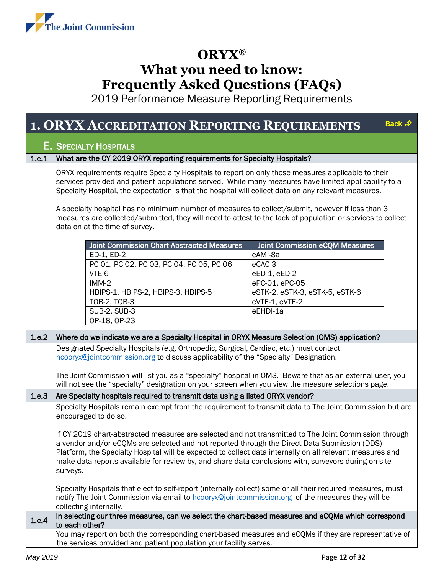

2019 Performance Measure Reporting Requirements

#### <span id="page-11-0"></span>**1. ORYX ACCREDITATION REPORTING REQUIREME[NTS](#page-0-0)** Back £

#### E. SPECIALTY HOSPITALS

#### 1.e.1 What are the CY 2019 ORYX reporting requirements for Specialty Hospitals?

ORYX requirements require Specialty Hospitals to report on only those measures applicable to their services provided and patient populations served. While many measures have limited applicability to a Specialty Hospital, the expectation is that the hospital will collect data on any relevant measures.

A specialty hospital has no minimum number of measures to collect/submit, however if less than 3 measures are collected/submitted, they will need to attest to the lack of population or services to collect data on at the time of survey.

| Joint Commission Chart-Abstracted Measures | Joint Commission eCQM Measures |
|--------------------------------------------|--------------------------------|
| ED-1, ED-2                                 | eAMI-8a                        |
| PC-01, PC-02, PC-03, PC-04, PC-05, PC-06   | eCAC-3                         |
| VTE-6                                      | eED-1, eED-2                   |
| $IMM-2$                                    | ePC-01, ePC-05                 |
| HBIPS-1, HBIPS-2, HBIPS-3, HBIPS-5         | eSTK-2, eSTK-3, eSTK-5, eSTK-6 |
| TOB-2, TOB-3                               | eVTE-1, eVTE-2                 |
| <b>SUB-2, SUB-3</b>                        | eEHDI-1a                       |
| OP-18, OP-23                               |                                |

#### 1.e.2 Where do we indicate we are a Specialty Hospital in ORYX Measure Selection (OMS) application?

Designated Specialty Hospitals (e.g. Orthopedic, Surgical, Cardiac, etc.) must contact [hcooryx@jointcommission.org](mailto:hcooryx@jointcommission.org) to discuss applicability of the "Specialty" Designation.

The Joint Commission will list you as a "specialty" hospital in OMS. Beware that as an external user, you will not see the "specialty" designation on your screen when you view the measure selections page.

#### 1.e.3 Are Specialty hospitals required to transmit data using a listed ORYX vendor?

Specialty Hospitals remain exempt from the requirement to transmit data to The Joint Commission but are encouraged to do so.

If CY 2019 chart-abstracted measures are selected and not transmitted to The Joint Commission through a vendor and/or eCQMs are selected and not reported through the Direct Data Submission (DDS) Platform, the Specialty Hospital will be expected to collect data internally on all relevant measures and make data reports available for review by, and share data conclusions with, surveyors during on-site surveys.

Specialty Hospitals that elect to self-report (internally collect) some or all their required measures, must notify The Joint Commission via email to [hcooryx@jointcommission.org](mailto:hcooryx@jointcommission.org) of the measures they will be collecting internally.

1.e.4 In selecting our three measures, can we select the chart-based measures and eCQMs which correspond to each other?

You may report on both the corresponding chart-based measures and eCQMs if they are representative of the services provided and patient population your facility serves.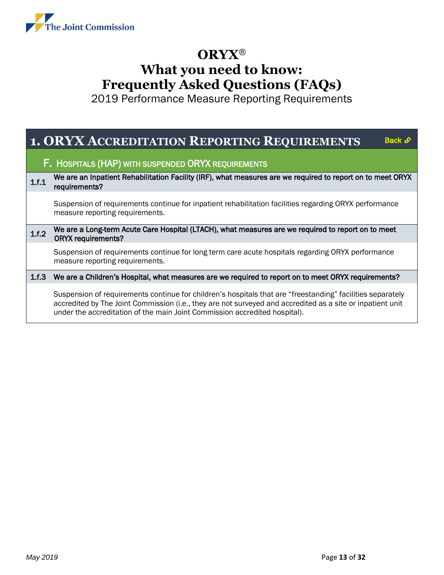

<span id="page-12-0"></span>

|       | <b>1. ORYX ACCREDITATION REPORTING REQUIREMENTS</b><br>Back <b>∌</b>                                                                                                                                                                                                                                   |
|-------|--------------------------------------------------------------------------------------------------------------------------------------------------------------------------------------------------------------------------------------------------------------------------------------------------------|
|       | <b>F. HOSPITALS (HAP) WITH SUSPENDED ORYX REQUIREMENTS</b>                                                                                                                                                                                                                                             |
| 1.f.1 | We are an Inpatient Rehabilitation Facility (IRF), what measures are we required to report on to meet ORYX<br>requirements?                                                                                                                                                                            |
|       | Suspension of requirements continue for inpatient rehabilitation facilities regarding ORYX performance<br>measure reporting requirements.                                                                                                                                                              |
| 1.f.2 | We are a Long-term Acute Care Hospital (LTACH), what measures are we required to report on to meet<br><b>ORYX requirements?</b>                                                                                                                                                                        |
|       | Suspension of requirements continue for long term care acute hospitals regarding ORYX performance<br>measure reporting requirements.                                                                                                                                                                   |
| 1.f.3 | We are a Children's Hospital, what measures are we required to report on to meet ORYX requirements?                                                                                                                                                                                                    |
|       | Suspension of requirements continue for children's hospitals that are "freestanding" facilities separately<br>accredited by The Joint Commission (i.e., they are not surveyed and accredited as a site or inpatient unit<br>under the accreditation of the main Joint Commission accredited hospital). |
|       |                                                                                                                                                                                                                                                                                                        |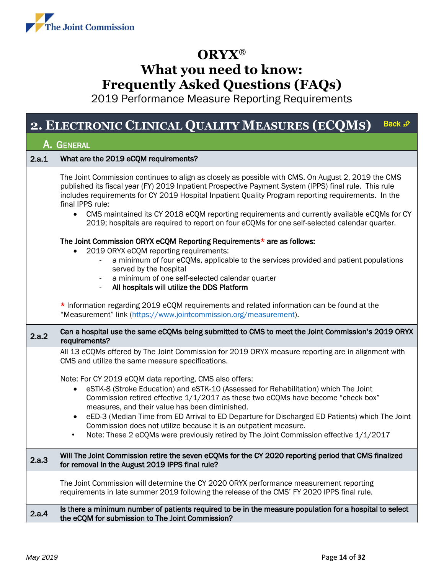

2019 Performance Measure Reporting Requirements

### **2. ELECTRONIC CLINICAL QUALITY MEASURES (EC[QM](#page-0-0)S)** Back

<span id="page-13-0"></span>

|       | . ELECTRONIC CENNICAL QUALITI METROLIED (ECQUID)                                                                                                                                                                                                                                                                                                                                                                                                                                                                                                                                    |  |
|-------|-------------------------------------------------------------------------------------------------------------------------------------------------------------------------------------------------------------------------------------------------------------------------------------------------------------------------------------------------------------------------------------------------------------------------------------------------------------------------------------------------------------------------------------------------------------------------------------|--|
|       | A. General                                                                                                                                                                                                                                                                                                                                                                                                                                                                                                                                                                          |  |
| 2.a.1 | What are the 2019 eCQM requirements?                                                                                                                                                                                                                                                                                                                                                                                                                                                                                                                                                |  |
|       | The Joint Commission continues to align as closely as possible with CMS. On August 2, 2019 the CMS<br>published its fiscal year (FY) 2019 Inpatient Prospective Payment System (IPPS) final rule. This rule<br>includes requirements for CY 2019 Hospital Inpatient Quality Program reporting requirements. In the<br>final IPPS rule:<br>• CMS maintained its CY 2018 eCQM reporting requirements and currently available eCQMs for CY<br>2019; hospitals are required to report on four eCQMs for one self-selected calendar quarter.                                             |  |
|       | The Joint Commission ORYX eCQM Reporting Requirements* are as follows:                                                                                                                                                                                                                                                                                                                                                                                                                                                                                                              |  |
|       | 2019 ORYX eCQM reporting requirements:<br>a minimum of four eCQMs, applicable to the services provided and patient populations<br>served by the hospital<br>a minimum of one self-selected calendar quarter<br>All hospitals will utilize the DDS Platform<br>$\overline{\phantom{a}}$                                                                                                                                                                                                                                                                                              |  |
|       | * Information regarding 2019 eCQM requirements and related information can be found at the<br>"Measurement" link (https://www.jointcommission.org/measurement).                                                                                                                                                                                                                                                                                                                                                                                                                     |  |
| 2.a.2 | Can a hospital use the same eCQMs being submitted to CMS to meet the Joint Commission's 2019 ORYX<br>requirements?                                                                                                                                                                                                                                                                                                                                                                                                                                                                  |  |
|       | All 13 eCQMs offered by The Joint Commission for 2019 ORYX measure reporting are in alignment with<br>CMS and utilize the same measure specifications.                                                                                                                                                                                                                                                                                                                                                                                                                              |  |
|       | Note: For CY 2019 eCQM data reporting, CMS also offers:<br>eSTK-8 (Stroke Education) and eSTK-10 (Assessed for Rehabilitation) which The Joint<br>$\bullet$<br>Commission retired effective 1/1/2017 as these two eCQMs have become "check box"<br>measures, and their value has been diminished.<br>eED-3 (Median Time from ED Arrival to ED Departure for Discharged ED Patients) which The Joint<br>٠<br>Commission does not utilize because it is an outpatient measure.<br>Note: These 2 eCQMs were previously retired by The Joint Commission effective 1/1/2017<br>$\bullet$ |  |
| 2.a.3 | Will The Joint Commission retire the seven eCQMs for the CY 2020 reporting period that CMS finalized<br>for removal in the August 2019 IPPS final rule?                                                                                                                                                                                                                                                                                                                                                                                                                             |  |
|       | The Joint Commission will determine the CY 2020 ORYX performance measurement reporting<br>requirements in late summer 2019 following the release of the CMS' FY 2020 IPPS final rule.                                                                                                                                                                                                                                                                                                                                                                                               |  |
| 2.a.4 | Is there a minimum number of patients required to be in the measure population for a hospital to select<br>the eCQM for submission to The Joint Commission?                                                                                                                                                                                                                                                                                                                                                                                                                         |  |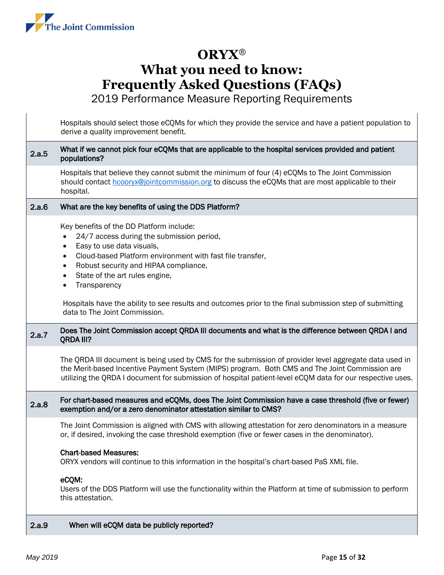

2019 Performance Measure Reporting Requirements

Hospitals should select those eCQMs for which they provide the service and have a patient population to derive a quality improvement benefit. 2.a.5 What if we cannot pick four eCQMs that are applicable to the hospital services provided and patient populations? Hospitals that believe they cannot submit the minimum of four (4) eCQMs to The Joint Commission should contact [hcooryx@jointcommission.org](mailto:hcooryx@jointcommission.org) to discuss the eCQMs that are most applicable to their hospital. 2.a.6 What are the key benefits of using the DDS Platform? Key benefits of the DD Platform include: 24/7 access during the submission period, • Easy to use data visuals, • Cloud-based Platform environment with fast file transfer, • Robust security and HIPAA compliance, State of the art rules engine, **Transparency** Hospitals have the ability to see results and outcomes prior to the final submission step of submitting data to The Joint Commission. 2.a.7 Does The Joint Commission accept QRDA III documents and what is the difference between QRDA I and QRDA III? The QRDA III document is being used by CMS for the submission of provider level aggregate data used in the Merit-based Incentive Payment System (MIPS) program. Both CMS and The Joint Commission are utilizing the QRDA I document for submission of hospital patient-level eCQM data for our respective uses. 2.a.8 For chart-based measures and eCQMs, does The Joint Commission have a case threshold (five or fewer) exemption and/or a zero denominator attestation similar to CMS? The Joint Commission is aligned with CMS with allowing attestation for zero denominators in a measure or, if desired, invoking the case threshold exemption (five or fewer cases in the denominator). Chart-based Measures: ORYX vendors will continue to this information in the hospital's chart-based PaS XML file. eCQM: Users of the DDS Platform will use the functionality within the Platform at time of submission to perform this attestation. 2.a.9 When will eCQM data be publicly reported?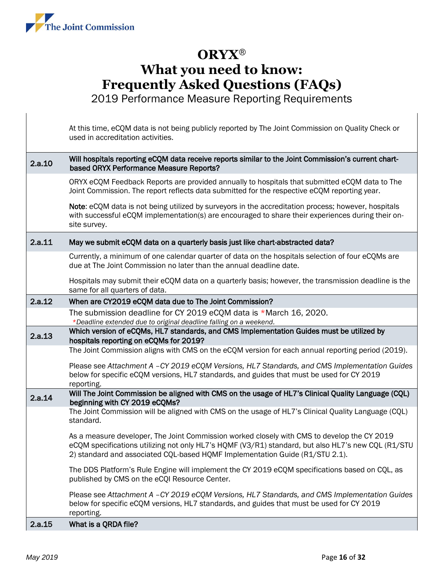

2019 Performance Measure Reporting Requirements

At this time, eCQM data is not being publicly reported by The Joint Commission on Quality Check or used in accreditation activities. 2.a.10 Will hospitals reporting eCQM data receive reports similar to the Joint Commission's current chartbased ORYX Performance Measure Reports? ORYX eCQM Feedback Reports are provided annually to hospitals that submitted eCQM data to The Joint Commission. The report reflects data submitted for the respective eCQM reporting year. Note: eCQM data is not being utilized by surveyors in the accreditation process; however, hospitals with successful eCQM implementation(s) are encouraged to share their experiences during their onsite survey. 2.a.11 May we submit eCQM data on a quarterly basis just like chart-abstracted data? Currently, a minimum of one calendar quarter of data on the hospitals selection of four eCQMs are due at The Joint Commission no later than the annual deadline date. Hospitals may submit their eCQM data on a quarterly basis; however, the transmission deadline is the same for all quarters of data. 2.a.12 When are CY2019 eCQM data due to The Joint Commission? The submission deadline for CY 2019 eCQM data is \*March 16, 2020. *\*Deadline extended due to original deadline falling on a weekend.* 2.a.13 Which version of eCQMs, HL7 standards, and CMS Implementation Guides must be utilized by hospitals reporting on eCQMs for 2019? The Joint Commission aligns with CMS on the eCQM version for each annual reporting period (2019). Please see *Attachment A –CY 2019 eCQM Versions, HL7 Standards, and CMS Implementation Guides* below for specific eCQM versions, HL7 standards, and guides that must be used for CY 2019 reporting. 2.a.14 Will The Joint Commission be aligned with CMS on the usage of HL7's Clinical Quality Language (CQL) beginning with CY 2019 eCQMs? The Joint Commission will be aligned with CMS on the usage of HL7's Clinical Quality Language (CQL) standard. As a measure developer, The Joint Commission worked closely with CMS to develop the CY 2019 eCQM specifications utilizing not only HL7's HQMF (V3/R1) standard, but also HL7's new CQL (R1/STU 2) standard and associated CQL-based HQMF Implementation Guide (R1/STU 2.1). The DDS Platform's Rule Engine will implement the CY 2019 eCQM specifications based on CQL, as published by CMS on the eCQI Resource Center. Please see *Attachment A –CY 2019 eCQM Versions, HL7 Standards, and CMS Implementation Guides* below for specific eCQM versions, HL7 standards, and guides that must be used for CY 2019 reporting. 2.a.15 What is a QRDA file?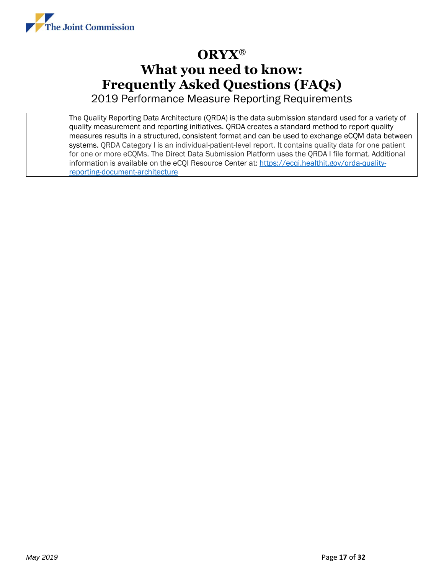

2019 Performance Measure Reporting Requirements

The Quality Reporting Data Architecture (QRDA) is the data submission standard used for a variety of quality measurement and reporting initiatives. QRDA creates a standard method to report quality measures results in a structured, consistent format and can be used to exchange eCQM data between systems. QRDA Category I is an individual-patient-level report. It contains quality data for one patient for one or more eCQMs. The Direct Data Submission Platform uses the QRDA I file format. Additional information is available on the eCQI Resource Center at: [https://ecqi.healthit.gov/qrda-quality](https://ecqi.healthit.gov/qrda-quality-reporting-document-architecture)[reporting-document-architecture](https://ecqi.healthit.gov/qrda-quality-reporting-document-architecture)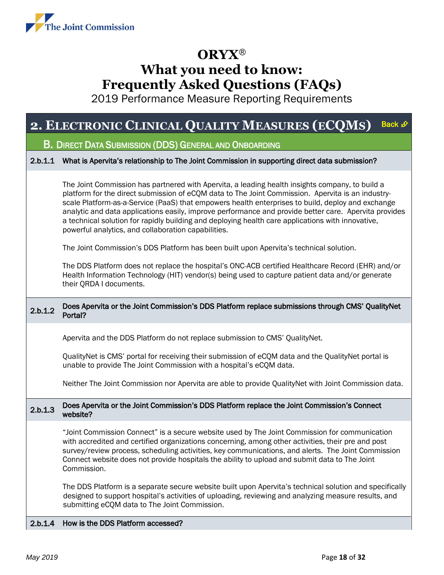

2019 Performance Measure Reporting Requirements

#### <span id="page-17-0"></span>**2. ELECTRONIC CLINICAL QUALITY MEASURES (E[CQM](#page-0-0)S)** Back £

#### B. DIRECT DATA SUBMISSION (DDS) GENERAL AND ONBOARDING

#### 2.b.1.1 What is Apervita's relationship to The Joint Commission in supporting direct data submission?

The Joint Commission has partnered with Apervita, a leading health insights company, to build a platform for the direct submission of eCQM data to The Joint Commission. Apervita is an industryscale Platform-as-a-Service (PaaS) that empowers health enterprises to build, deploy and exchange analytic and data applications easily, improve performance and provide better care. Apervita provides a technical solution for rapidly building and deploying health care applications with innovative, powerful analytics, and collaboration capabilities.

The Joint Commission's DDS Platform has been built upon Apervita's technical solution.

The DDS Platform does not replace the hospital's ONC-ACB certified Healthcare Record (EHR) and/or Health Information Technology (HIT) vendor(s) being used to capture patient data and/or generate their QRDA I documents.

#### 2.b.1.2 Does Apervita or the Joint Commission's DDS Platform replace submissions through CMS' QualityNet Portal?

Apervita and the DDS Platform do not replace submission to CMS' QualityNet.

QualityNet is CMS' portal for receiving their submission of eCQM data and the QualityNet portal is unable to provide The Joint Commission with a hospital's eCQM data.

Neither The Joint Commission nor Apervita are able to provide QualityNet with Joint Commission data.

#### 2.b.1.3 Does Apervita or the Joint Commission's DDS Platform replace the Joint Commission's Connect website?

"Joint Commission Connect" is a secure website used by The Joint Commission for communication with accredited and certified organizations concerning, among other activities, their pre and post survey/review process, scheduling activities, key communications, and alerts. The Joint Commission Connect website does not provide hospitals the ability to upload and submit data to The Joint Commission.

The DDS Platform is a separate secure website built upon Apervita's technical solution and specifically designed to support hospital's activities of uploading, reviewing and analyzing measure results, and submitting eCQM data to The Joint Commission.

#### 2.b.1.4 How is the DDS Platform accessed?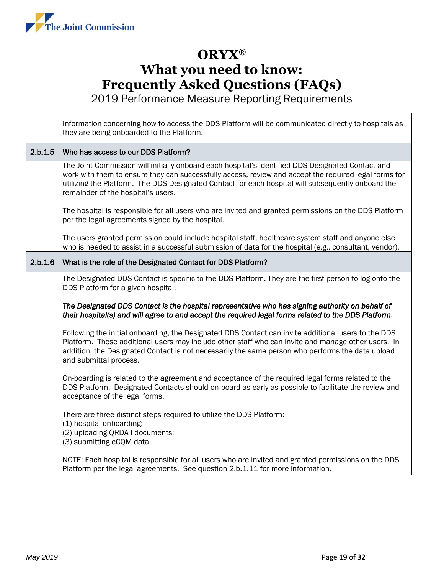

2019 Performance Measure Reporting Requirements

Information concerning how to access the DDS Platform will be communicated directly to hospitals as they are being onboarded to the Platform.

#### 2.b.1.5 Who has access to our DDS Platform?

The Joint Commission will initially onboard each hospital's identified DDS Designated Contact and work with them to ensure they can successfully access, review and accept the required legal forms for utilizing the Platform. The DDS Designated Contact for each hospital will subsequently onboard the remainder of the hospital's users.

The hospital is responsible for all users who are invited and granted permissions on the DDS Platform per the legal agreements signed by the hospital.

The users granted permission could include hospital staff, healthcare system staff and anyone else who is needed to assist in a successful submission of data for the hospital (e.g., consultant, vendor).

#### 2.b.1.6 What is the role of the Designated Contact for DDS Platform?

The Designated DDS Contact is specific to the DDS Platform. They are the first person to log onto the DDS Platform for a given hospital.

#### *The Designated DDS Contact is the hospital representative who has signing authority on behalf of their hospital(s) and will agree to and accept the required legal forms related to the DDS Platform.*

Following the initial onboarding, the Designated DDS Contact can invite additional users to the DDS Platform. These additional users may include other staff who can invite and manage other users. In addition, the Designated Contact is not necessarily the same person who performs the data upload and submittal process.

On-boarding is related to the agreement and acceptance of the required legal forms related to the DDS Platform. Designated Contacts should on-board as early as possible to facilitate the review and acceptance of the legal forms.

There are three distinct steps required to utilize the DDS Platform:

- (1) hospital onboarding;
- (2) uploading QRDA I documents;
- (3) submitting eCQM data.

NOTE: Each hospital is responsible for all users who are invited and granted permissions on the DDS Platform per the legal agreements. See question 2.b.1.11 for more information.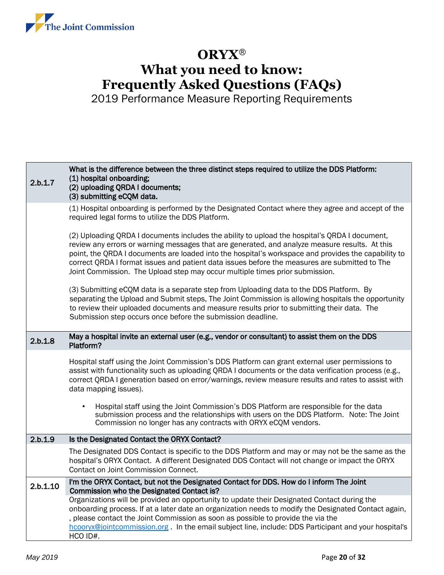

| 2.b.1.7  | What is the difference between the three distinct steps required to utilize the DDS Platform:<br>(1) hospital onboarding;<br>(2) uploading QRDA I documents;<br>(3) submitting eCQM data.                                                                                                                                                                                                                                                                                               |
|----------|-----------------------------------------------------------------------------------------------------------------------------------------------------------------------------------------------------------------------------------------------------------------------------------------------------------------------------------------------------------------------------------------------------------------------------------------------------------------------------------------|
|          | (1) Hospital onboarding is performed by the Designated Contact where they agree and accept of the<br>required legal forms to utilize the DDS Platform.                                                                                                                                                                                                                                                                                                                                  |
|          | (2) Uploading QRDA I documents includes the ability to upload the hospital's QRDA I document,<br>review any errors or warning messages that are generated, and analyze measure results. At this<br>point, the QRDA I documents are loaded into the hospital's workspace and provides the capability to<br>correct QRDA I format issues and patient data issues before the measures are submitted to The<br>Joint Commission. The Upload step may occur multiple times prior submission. |
|          | (3) Submitting eCQM data is a separate step from Uploading data to the DDS Platform. By<br>separating the Upload and Submit steps, The Joint Commission is allowing hospitals the opportunity<br>to review their uploaded documents and measure results prior to submitting their data. The<br>Submission step occurs once before the submission deadline.                                                                                                                              |
| 2.b.1.8  | May a hospital invite an external user (e.g., vendor or consultant) to assist them on the DDS<br>Platform?                                                                                                                                                                                                                                                                                                                                                                              |
|          | Hospital staff using the Joint Commission's DDS Platform can grant external user permissions to<br>assist with functionality such as uploading QRDA I documents or the data verification process (e.g.,<br>correct QRDA I generation based on error/warnings, review measure results and rates to assist with<br>data mapping issues).                                                                                                                                                  |
|          | Hospital staff using the Joint Commission's DDS Platform are responsible for the data<br>$\bullet$<br>submission process and the relationships with users on the DDS Platform. Note: The Joint<br>Commission no longer has any contracts with ORYX eCQM vendors.                                                                                                                                                                                                                        |
| 2.b.1.9  | Is the Designated Contact the ORYX Contact?                                                                                                                                                                                                                                                                                                                                                                                                                                             |
|          | The Designated DDS Contact is specific to the DDS Platform and may or may not be the same as the<br>hospital's ORYX Contact. A different Designated DDS Contact will not change or impact the ORYX<br>Contact on Joint Commission Connect.                                                                                                                                                                                                                                              |
| 2.b.1.10 | I'm the ORYX Contact, but not the Designated Contact for DDS. How do I inform The Joint<br>Commission who the Designated Contact is?                                                                                                                                                                                                                                                                                                                                                    |
|          | Organizations will be provided an opportunity to update their Designated Contact during the<br>onboarding process. If at a later date an organization needs to modify the Designated Contact again,<br>, please contact the Joint Commission as soon as possible to provide the via the<br>hcooryx@jointcommission.org. In the email subject line, include: DDS Participant and your hospital's<br>HCO ID#.                                                                             |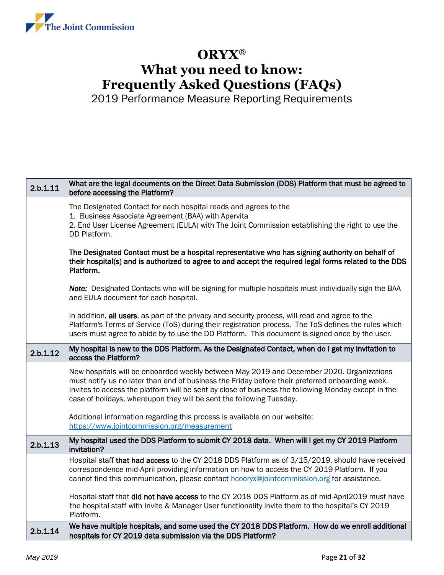

| 2.b.1.11 | What are the legal documents on the Direct Data Submission (DDS) Platform that must be agreed to<br>before accessing the Platform?                                                                                                                                                                                                                                         |
|----------|----------------------------------------------------------------------------------------------------------------------------------------------------------------------------------------------------------------------------------------------------------------------------------------------------------------------------------------------------------------------------|
|          | The Designated Contact for each hospital reads and agrees to the<br>1. Business Associate Agreement (BAA) with Apervita<br>2. End User License Agreement (EULA) with The Joint Commission establishing the right to use the<br>DD Platform.                                                                                                                                |
|          | The Designated Contact must be a hospital representative who has signing authority on behalf of<br>their hospital(s) and is authorized to agree to and accept the required legal forms related to the DDS<br>Platform.                                                                                                                                                     |
|          | Note: Designated Contacts who will be signing for multiple hospitals must individually sign the BAA<br>and EULA document for each hospital.                                                                                                                                                                                                                                |
|          | In addition, all users, as part of the privacy and security process, will read and agree to the<br>Platform's Terms of Service (ToS) during their registration process. The ToS defines the rules which<br>users must agree to abide by to use the DD Platform. This document is signed once by the user.                                                                  |
| 2.b.1.12 | My hospital is new to the DDS Platform. As the Designated Contact, when do I get my invitation to<br>access the Platform?                                                                                                                                                                                                                                                  |
|          | New hospitals will be onboarded weekly between May 2019 and December 2020. Organizations<br>must notify us no later than end of business the Friday before their preferred onboarding week.<br>Invites to access the platform will be sent by close of business the following Monday except in the<br>case of holidays, whereupon they will be sent the following Tuesday. |
|          | Additional information regarding this process is available on our website:<br>https://www.jointcommission.org/measurement                                                                                                                                                                                                                                                  |
| 2.b.1.13 | My hospital used the DDS Platform to submit CY 2018 data. When will I get my CY 2019 Platform<br>invitation?                                                                                                                                                                                                                                                               |
|          | Hospital staff that had access to the CY 2018 DDS Platform as of 3/15/2019, should have received<br>correspondence mid-April providing information on how to access the CY 2019 Platform. If you<br>cannot find this communication, please contact hcooryx@jointcommission.org for assistance.                                                                             |
|          | Hospital staff that did not have access to the CY 2018 DDS Platform as of mid-April2019 must have<br>the hospital staff with Invite & Manager User functionality invite them to the hospital's CY 2019<br>Platform.                                                                                                                                                        |
| 2.b.1.14 | We have multiple hospitals, and some used the CY 2018 DDS Platform. How do we enroll additional<br>hospitals for CY 2019 data submission via the DDS Platform?                                                                                                                                                                                                             |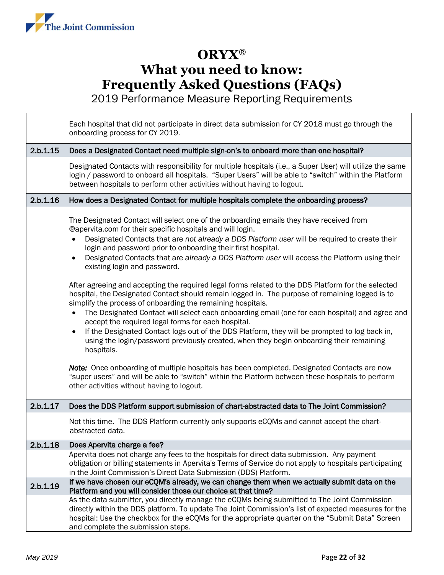

2019 Performance Measure Reporting Requirements

Each hospital that did not participate in direct data submission for CY 2018 must go through the

|          | onboarding process for CY 2019.                                                                                                                                                                                                                                                                                                                                                                                                                                                                                                                                                                                                                                                                                                                                                                                                                                                                                                                                                                                         |
|----------|-------------------------------------------------------------------------------------------------------------------------------------------------------------------------------------------------------------------------------------------------------------------------------------------------------------------------------------------------------------------------------------------------------------------------------------------------------------------------------------------------------------------------------------------------------------------------------------------------------------------------------------------------------------------------------------------------------------------------------------------------------------------------------------------------------------------------------------------------------------------------------------------------------------------------------------------------------------------------------------------------------------------------|
| 2.b.1.15 | Does a Designated Contact need multiple sign-on's to onboard more than one hospital?                                                                                                                                                                                                                                                                                                                                                                                                                                                                                                                                                                                                                                                                                                                                                                                                                                                                                                                                    |
|          | Designated Contacts with responsibility for multiple hospitals (i.e., a Super User) will utilize the same<br>login / password to onboard all hospitals. "Super Users" will be able to "switch" within the Platform<br>between hospitals to perform other activities without having to logout.                                                                                                                                                                                                                                                                                                                                                                                                                                                                                                                                                                                                                                                                                                                           |
| 2.b.1.16 | How does a Designated Contact for multiple hospitals complete the onboarding process?                                                                                                                                                                                                                                                                                                                                                                                                                                                                                                                                                                                                                                                                                                                                                                                                                                                                                                                                   |
|          | The Designated Contact will select one of the onboarding emails they have received from<br>@apervita.com for their specific hospitals and will login.<br>Designated Contacts that are not already a DDS Platform user will be required to create their<br>login and password prior to onboarding their first hospital.<br>Designated Contacts that are already a DDS Platform user will access the Platform using their<br>$\bullet$<br>existing login and password.<br>After agreeing and accepting the required legal forms related to the DDS Platform for the selected<br>hospital, the Designated Contact should remain logged in. The purpose of remaining logged is to<br>simplify the process of onboarding the remaining hospitals.<br>The Designated Contact will select each onboarding email (one for each hospital) and agree and<br>$\bullet$<br>accept the required legal forms for each hospital.<br>If the Designated Contact logs out of the DDS Platform, they will be prompted to log back in,<br>٠ |
|          | using the login/password previously created, when they begin onboarding their remaining<br>hospitals.                                                                                                                                                                                                                                                                                                                                                                                                                                                                                                                                                                                                                                                                                                                                                                                                                                                                                                                   |
|          | Note: Once onboarding of multiple hospitals has been completed, Designated Contacts are now<br>"super users" and will be able to "switch" within the Platform between these hospitals to perform<br>other activities without having to logout.                                                                                                                                                                                                                                                                                                                                                                                                                                                                                                                                                                                                                                                                                                                                                                          |
| 2.b.1.17 | Does the DDS Platform support submission of chart-abstracted data to The Joint Commission?                                                                                                                                                                                                                                                                                                                                                                                                                                                                                                                                                                                                                                                                                                                                                                                                                                                                                                                              |
|          | Not this time. The DDS Platform currently only supports eCQMs and cannot accept the chart-<br>abstracted data.                                                                                                                                                                                                                                                                                                                                                                                                                                                                                                                                                                                                                                                                                                                                                                                                                                                                                                          |
| 2.b.1.18 | Does Apervita charge a fee?                                                                                                                                                                                                                                                                                                                                                                                                                                                                                                                                                                                                                                                                                                                                                                                                                                                                                                                                                                                             |
|          | Apervita does not charge any fees to the hospitals for direct data submission. Any payment<br>obligation or billing statements in Apervita's Terms of Service do not apply to hospitals participating<br>in the Joint Commission's Direct Data Submission (DDS) Platform.                                                                                                                                                                                                                                                                                                                                                                                                                                                                                                                                                                                                                                                                                                                                               |
| 2.b.1.19 | If we have chosen our eCQM's already, we can change them when we actually submit data on the<br>Platform and you will consider those our choice at that time?                                                                                                                                                                                                                                                                                                                                                                                                                                                                                                                                                                                                                                                                                                                                                                                                                                                           |
|          | As the data submitter, you directly manage the eCQMs being submitted to The Joint Commission<br>directly within the DDS platform. To update The Joint Commission's list of expected measures for the<br>hospital: Use the checkbox for the eCQMs for the appropriate quarter on the "Submit Data" Screen<br>and complete the submission steps.                                                                                                                                                                                                                                                                                                                                                                                                                                                                                                                                                                                                                                                                          |
|          |                                                                                                                                                                                                                                                                                                                                                                                                                                                                                                                                                                                                                                                                                                                                                                                                                                                                                                                                                                                                                         |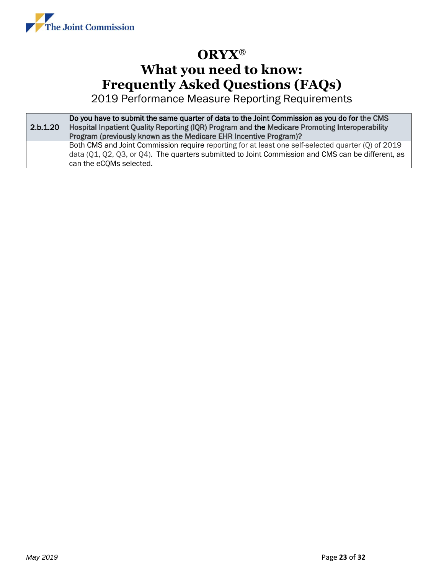

2019 Performance Measure Reporting Requirements

2.b.1.20 Do you have to submit the same quarter of data to the Joint Commission as you do for the CMS Hospital Inpatient Quality Reporting (IQR) Program and the Medicare Promoting Interoperability Program (previously known as the Medicare EHR Incentive Program)? Both CMS and Joint Commission require reporting for at least one self-selected quarter (Q) of 2019 data (Q1, Q2, Q3, or Q4). The quarters submitted to Joint Commission and CMS can be different, as can the eCQMs selected.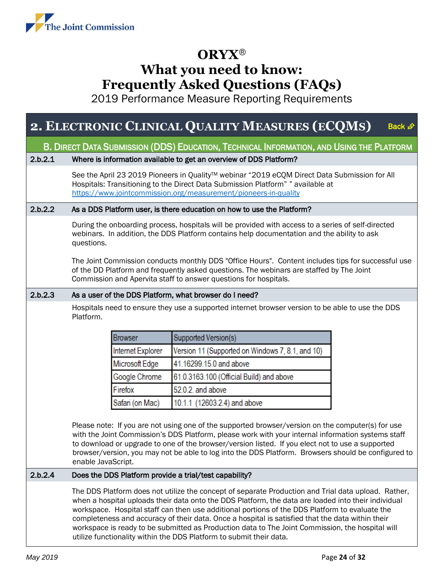

2019 Performance Measure Reporting Requirements

#### **2. ELECTRONIC CLINICAL QUALITY MEASURES (EC[QM](#page-0-0)S)** Back ∌

<span id="page-23-0"></span>B. DIRECT DATA SUBMISSION (DDS) EDUCATION, TECHNICAL INFORMATION, AND USING THE PLATFORM

#### 2.b.2.1 Where is information available to get an overview of DDS Platform?

See the April 23 2019 Pioneers in Quality™ webinar "2019 eCQM Direct Data Submission for All Hospitals: Transitioning to the Direct Data Submission Platform" " available at <https://www.jointcommission.org/measurement/pioneers-in-quality>

#### 2.b.2.2 As a DDS Platform user, is there education on how to use the Platform?

During the onboarding process, hospitals will be provided with access to a series of self-directed webinars. In addition, the DDS Platform contains help documentation and the ability to ask questions.

The Joint Commission conducts monthly DDS "Office Hours". Content includes tips for successful use of the DD Platform and frequently asked questions. The webinars are staffed by The Joint Commission and Apervita staff to answer questions for hospitals.

#### 2.b.2.3 As a user of the DDS Platform, what browser do I need?

Hospitals need to ensure they use a supported internet browser version to be able to use the DDS Platform.

| <b>Browser</b>    | Supported Version(s)                             |
|-------------------|--------------------------------------------------|
| Internet Explorer | Version 11 (Supported on Windows 7, 8.1, and 10) |
| Microsoft Edge    | 41.16299.15.0 and above                          |
| Google Chrome     | 61.0.3163.100 (Official Build) and above         |
| Firefox           | 52.0.2. and above                                |
| Safari (on Mac)   | 10.1.1 (12603.2.4) and above                     |

Please note: If you are not using one of the supported browser/version on the computer(s) for use with the Joint Commission's DDS Platform, please work with your internal information systems staff to download or upgrade to one of the browser/version listed. If you elect not to use a supported browser/version, you may not be able to log into the DDS Platform. Browsers should be configured to enable JavaScript.

#### 2.b.2.4 Does the DDS Platform provide a trial/test capability?

The DDS Platform does not utilize the concept of separate Production and Trial data upload. Rather, when a hospital uploads their data onto the DDS Platform, the data are loaded into their individual workspace. Hospital staff can then use additional portions of the DDS Platform to evaluate the completeness and accuracy of their data. Once a hospital is satisfied that the data within their workspace is ready to be submitted as Production data to The Joint Commission, the hospital will utilize functionality within the DDS Platform to submit their data.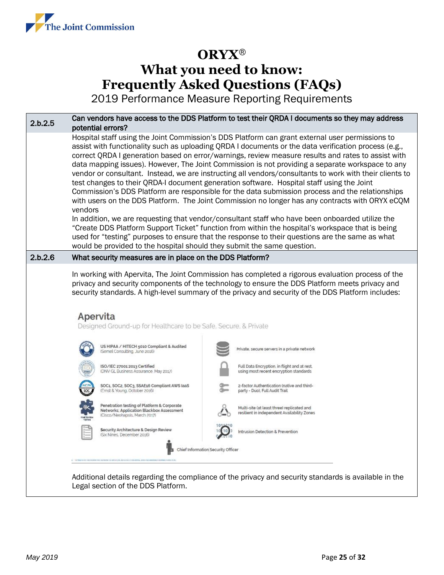

2019 Performance Measure Reporting Requirements

| 2.b.2.5 | Can vendors have access to the DDS Platform to test their QRDA I documents so they may address<br>potential errors?                                                                                                                                                                                                                                                                      |                                                                                                                                                                                                                                                                                                                                                                                                                                                                                                                                                                                                                                                                                                                                                                                                                                                                                                                                                                                                                                                                                                                                           |  |  |  |  |
|---------|------------------------------------------------------------------------------------------------------------------------------------------------------------------------------------------------------------------------------------------------------------------------------------------------------------------------------------------------------------------------------------------|-------------------------------------------------------------------------------------------------------------------------------------------------------------------------------------------------------------------------------------------------------------------------------------------------------------------------------------------------------------------------------------------------------------------------------------------------------------------------------------------------------------------------------------------------------------------------------------------------------------------------------------------------------------------------------------------------------------------------------------------------------------------------------------------------------------------------------------------------------------------------------------------------------------------------------------------------------------------------------------------------------------------------------------------------------------------------------------------------------------------------------------------|--|--|--|--|
|         | vendors<br>would be provided to the hospital should they submit the same question.                                                                                                                                                                                                                                                                                                       | Hospital staff using the Joint Commission's DDS Platform can grant external user permissions to<br>assist with functionality such as uploading QRDA I documents or the data verification process (e.g.,<br>correct QRDA I generation based on error/warnings, review measure results and rates to assist with<br>data mapping issues). However, The Joint Commission is not providing a separate workspace to any<br>vendor or consultant. Instead, we are instructing all vendors/consultants to work with their clients to<br>test changes to their QRDA-I document generation software. Hospital staff using the Joint<br>Commission's DDS Platform are responsible for the data submission process and the relationships<br>with users on the DDS Platform. The Joint Commission no longer has any contracts with ORYX eCQM<br>In addition, we are requesting that vendor/consultant staff who have been onboarded utilize the<br>"Create DDS Platform Support Ticket" function from within the hospital's workspace that is being<br>used for "testing" purposes to ensure that the response to their questions are the same as what |  |  |  |  |
| 2.b.2.6 | What security measures are in place on the DDS Platform?                                                                                                                                                                                                                                                                                                                                 |                                                                                                                                                                                                                                                                                                                                                                                                                                                                                                                                                                                                                                                                                                                                                                                                                                                                                                                                                                                                                                                                                                                                           |  |  |  |  |
|         | In working with Apervita, The Joint Commission has completed a rigorous evaluation process of the<br>privacy and security components of the technology to ensure the DDS Platform meets privacy and<br>security standards. A high-level summary of the privacy and security of the DDS Platform includes:<br>Apervita<br>Designed Ground-up for Healthcare to be Safe, Secure, & Private |                                                                                                                                                                                                                                                                                                                                                                                                                                                                                                                                                                                                                                                                                                                                                                                                                                                                                                                                                                                                                                                                                                                                           |  |  |  |  |
|         | US HIPAA / HITECH 5010 Compliant & Audited<br>(Semel Consulting, June 2016)                                                                                                                                                                                                                                                                                                              | Private, secure servers in a private network                                                                                                                                                                                                                                                                                                                                                                                                                                                                                                                                                                                                                                                                                                                                                                                                                                                                                                                                                                                                                                                                                              |  |  |  |  |
|         | ISO/IEC 27001:2013 Certified<br>(DNV GL Business Assurance, May 2017)                                                                                                                                                                                                                                                                                                                    | Full Data Encryption. in flight and at rest,<br>using most recent encryption standards                                                                                                                                                                                                                                                                                                                                                                                                                                                                                                                                                                                                                                                                                                                                                                                                                                                                                                                                                                                                                                                    |  |  |  |  |
|         | SOC1, SOC2, SOC3, SSAE16 Compliant AWS laaS<br>(Ernst & Young, October 2016)                                                                                                                                                                                                                                                                                                             | 2-factor Authentication (native and third-<br>party - Duo), Full Audit Trail                                                                                                                                                                                                                                                                                                                                                                                                                                                                                                                                                                                                                                                                                                                                                                                                                                                                                                                                                                                                                                                              |  |  |  |  |
|         | Penetration testing of Platform & Corporate<br>Networks; Application Blackbox Assessment<br>(Cisco/Neohapsis, March 2017)                                                                                                                                                                                                                                                                | Multi-site (at least three) replicated and<br>resilient in independent Availability Zones                                                                                                                                                                                                                                                                                                                                                                                                                                                                                                                                                                                                                                                                                                                                                                                                                                                                                                                                                                                                                                                 |  |  |  |  |
|         | Security Architecture & Design Review<br>(Six Nines, December 2016)                                                                                                                                                                                                                                                                                                                      | Intrusion Detection & Prevention                                                                                                                                                                                                                                                                                                                                                                                                                                                                                                                                                                                                                                                                                                                                                                                                                                                                                                                                                                                                                                                                                                          |  |  |  |  |
|         |                                                                                                                                                                                                                                                                                                                                                                                          | Chief Information Security Officer                                                                                                                                                                                                                                                                                                                                                                                                                                                                                                                                                                                                                                                                                                                                                                                                                                                                                                                                                                                                                                                                                                        |  |  |  |  |
|         |                                                                                                                                                                                                                                                                                                                                                                                          | Additional details regarding the compliance of the privacy and security standards is available in the                                                                                                                                                                                                                                                                                                                                                                                                                                                                                                                                                                                                                                                                                                                                                                                                                                                                                                                                                                                                                                     |  |  |  |  |

Legal section of the DDS Platform.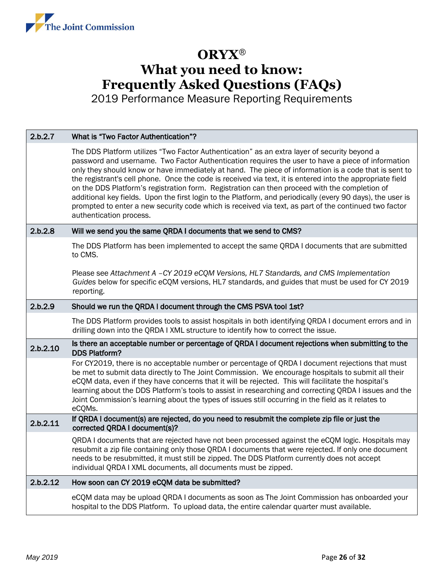

| 2.b.2.7  | What is "Two Factor Authentication"?                                                                                                                                                                                                                                                                                                                                                                                                                                                                                                                                                                                                                                                                                                                                       |
|----------|----------------------------------------------------------------------------------------------------------------------------------------------------------------------------------------------------------------------------------------------------------------------------------------------------------------------------------------------------------------------------------------------------------------------------------------------------------------------------------------------------------------------------------------------------------------------------------------------------------------------------------------------------------------------------------------------------------------------------------------------------------------------------|
|          | The DDS Platform utilizes "Two Factor Authentication" as an extra layer of security beyond a<br>password and username. Two Factor Authentication requires the user to have a piece of information<br>only they should know or have immediately at hand. The piece of information is a code that is sent to<br>the registrant's cell phone. Once the code is received via text, it is entered into the appropriate field<br>on the DDS Platform's registration form. Registration can then proceed with the completion of<br>additional key fields. Upon the first login to the Platform, and periodically (every 90 days), the user is<br>prompted to enter a new security code which is received via text, as part of the continued two factor<br>authentication process. |
| 2.b.2.8  | Will we send you the same QRDA I documents that we send to CMS?                                                                                                                                                                                                                                                                                                                                                                                                                                                                                                                                                                                                                                                                                                            |
|          | The DDS Platform has been implemented to accept the same QRDA I documents that are submitted<br>to CMS.                                                                                                                                                                                                                                                                                                                                                                                                                                                                                                                                                                                                                                                                    |
|          | Please see Attachment A -CY 2019 eCQM Versions, HL7 Standards, and CMS Implementation<br>Guides below for specific eCQM versions, HL7 standards, and guides that must be used for CY 2019<br>reporting.                                                                                                                                                                                                                                                                                                                                                                                                                                                                                                                                                                    |
| 2.b.2.9  | Should we run the QRDA I document through the CMS PSVA tool 1st?                                                                                                                                                                                                                                                                                                                                                                                                                                                                                                                                                                                                                                                                                                           |
|          | The DDS Platform provides tools to assist hospitals in both identifying QRDA I document errors and in<br>drilling down into the QRDA I XML structure to identify how to correct the issue.                                                                                                                                                                                                                                                                                                                                                                                                                                                                                                                                                                                 |
| 2.b.2.10 | Is there an acceptable number or percentage of QRDA I document rejections when submitting to the<br><b>DDS Platform?</b>                                                                                                                                                                                                                                                                                                                                                                                                                                                                                                                                                                                                                                                   |
|          | For CY2019, there is no acceptable number or percentage of QRDA I document rejections that must<br>be met to submit data directly to The Joint Commission. We encourage hospitals to submit all their<br>eCQM data, even if they have concerns that it will be rejected. This will facilitate the hospital's<br>learning about the DDS Platform's tools to assist in researching and correcting QRDA I issues and the<br>Joint Commission's learning about the types of issues still occurring in the field as it relates to<br>eCQMs.                                                                                                                                                                                                                                     |
| 2.b.2.11 | If QRDA I document(s) are rejected, do you need to resubmit the complete zip file or just the<br>corrected QRDA I document(s)?                                                                                                                                                                                                                                                                                                                                                                                                                                                                                                                                                                                                                                             |
|          | QRDA I documents that are rejected have not been processed against the eCQM logic. Hospitals may<br>resubmit a zip file containing only those QRDA I documents that were rejected. If only one document<br>needs to be resubmitted, it must still be zipped. The DDS Platform currently does not accept<br>individual QRDA I XML documents, all documents must be zipped.                                                                                                                                                                                                                                                                                                                                                                                                  |
| 2.b.2.12 | How soon can CY 2019 eCQM data be submitted?                                                                                                                                                                                                                                                                                                                                                                                                                                                                                                                                                                                                                                                                                                                               |
|          | eCQM data may be upload QRDA I documents as soon as The Joint Commission has onboarded your<br>hospital to the DDS Platform. To upload data, the entire calendar quarter must available.                                                                                                                                                                                                                                                                                                                                                                                                                                                                                                                                                                                   |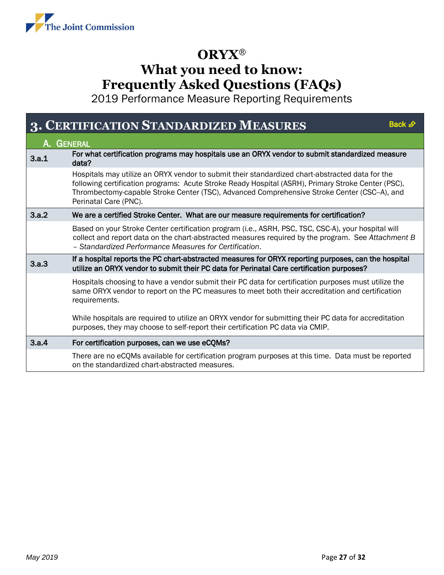<span id="page-26-0"></span>

| 3.         | <b>CERTIFICATION STANDARDIZED MEASURES</b><br>Back $\mathcal{D}$                                                                                                                                                                                                                                                              |
|------------|-------------------------------------------------------------------------------------------------------------------------------------------------------------------------------------------------------------------------------------------------------------------------------------------------------------------------------|
| A. GENERAL |                                                                                                                                                                                                                                                                                                                               |
| 3.a.1      | For what certification programs may hospitals use an ORYX vendor to submit standardized measure<br>data?                                                                                                                                                                                                                      |
|            | Hospitals may utilize an ORYX vendor to submit their standardized chart-abstracted data for the<br>following certification programs: Acute Stroke Ready Hospital (ASRH), Primary Stroke Center (PSC),<br>Thrombectomy-capable Stroke Center (TSC), Advanced Comprehensive Stroke Center (CSC-A), and<br>Perinatal Care (PNC). |
| 3.a.2      | We are a certified Stroke Center. What are our measure requirements for certification?                                                                                                                                                                                                                                        |
|            | Based on your Stroke Center certification program (i.e., ASRH, PSC, TSC, CSC-A), your hospital will<br>collect and report data on the chart-abstracted measures required by the program. See Attachment B<br>- Standardized Performance Measures for Certification.                                                           |
| 3.a.3      | If a hospital reports the PC chart-abstracted measures for ORYX reporting purposes, can the hospital<br>utilize an ORYX vendor to submit their PC data for Perinatal Care certification purposes?                                                                                                                             |
|            | Hospitals choosing to have a vendor submit their PC data for certification purposes must utilize the<br>same ORYX vendor to report on the PC measures to meet both their accreditation and certification<br>requirements.                                                                                                     |
|            | While hospitals are required to utilize an ORYX vendor for submitting their PC data for accreditation<br>purposes, they may choose to self-report their certification PC data via CMIP.                                                                                                                                       |
| 3.a.4      | For certification purposes, can we use eCQMs?                                                                                                                                                                                                                                                                                 |
|            | There are no eCQMs available for certification program purposes at this time. Data must be reported<br>on the standardized chart-abstracted measures.                                                                                                                                                                         |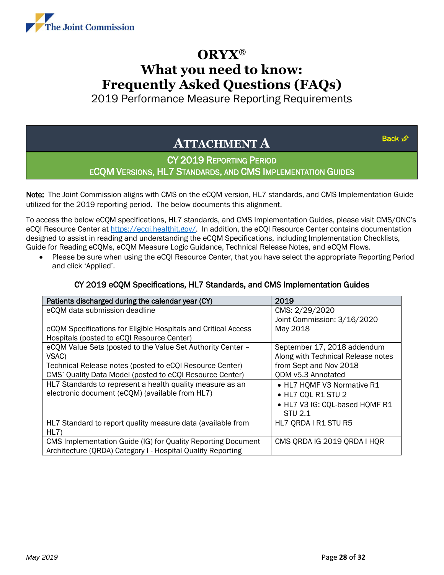<span id="page-27-0"></span>

2019 Performance Measure Reporting Requirements

### **ATTACHMENT A**

[Back](#page-0-0) £

### CY 2019 REPORTING PERIOD ECQM VERSIONS, HL7 STANDARDS, AND CMS IMPLEMENTATION GUIDES

Note: The Joint Commission aligns with CMS on the eCQM version, HL7 standards, and CMS Implementation Guide utilized for the 2019 reporting period. The below documents this alignment.

To access the below eCQM specifications, HL7 standards, and CMS Implementation Guides, please visit CMS/ONC's eCQI Resource Center at [https://ecqi.healthit.gov/.](https://ecqi.healthit.gov/) In addition, the eCQI Resource Center contains documentation designed to assist in reading and understanding the eCQM Specifications, including Implementation Checklists, Guide for Reading eCQMs, eCQM Measure Logic Guidance, Technical Release Notes, and eCQM Flows.

• Please be sure when using the eCQI Resource Center, that you have select the appropriate Reporting Period and click 'Applied'.

| Patients discharged during the calendar year (CY)              | 2019                               |
|----------------------------------------------------------------|------------------------------------|
| eCQM data submission deadline                                  | CMS: 2/29/2020                     |
|                                                                | Joint Commission: 3/16/2020        |
| eCQM Specifications for Eligible Hospitals and Critical Access | May 2018                           |
| Hospitals (posted to eCQI Resource Center)                     |                                    |
| eCQM Value Sets (posted to the Value Set Authority Center -    | September 17, 2018 addendum        |
| VSAC)                                                          | Along with Technical Release notes |
| Technical Release notes (posted to eCQI Resource Center)       | from Sept and Nov 2018             |
| CMS' Quality Data Model (posted to eCQI Resource Center)       | QDM v5.3 Annotated                 |
| HL7 Standards to represent a health quality measure as an      | • HL7 HQMF V3 Normative R1         |
| electronic document (eCQM) (available from HL7)                | • HL7 CQL R1 STU 2                 |
|                                                                | • HL7 V3 IG: CQL-based HQMF R1     |
|                                                                | <b>STU 2.1</b>                     |
| HL7 Standard to report quality measure data (available from    | HL7 QRDA I R1 STU R5               |
| HL7)                                                           |                                    |
| CMS Implementation Guide (IG) for Quality Reporting Document   | CMS ORDA IG 2019 ORDA I HOR        |
| Architecture (QRDA) Category I - Hospital Quality Reporting    |                                    |

#### CY 2019 eCQM Specifications, HL7 Standards, and CMS Implementation Guides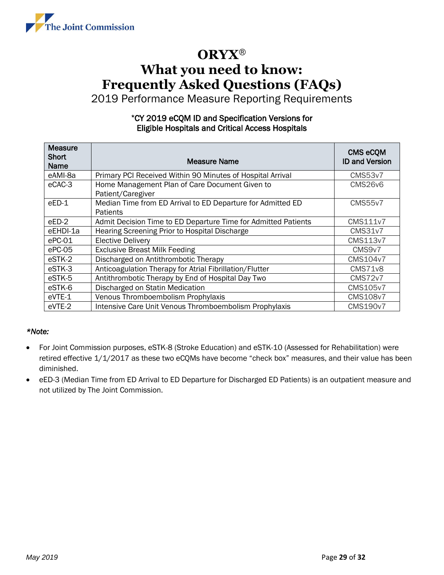

2019 Performance Measure Reporting Requirements

#### \*CY 2019 eCQM ID and Specification Versions for Eligible Hospitals and Critical Access Hospitals

| <b>Measure</b><br>Short<br><b>Name</b> | <b>Measure Name</b>                                                     | <b>CMS eCQM</b><br><b>ID and Version</b> |
|----------------------------------------|-------------------------------------------------------------------------|------------------------------------------|
| eAMI-8a                                | Primary PCI Received Within 90 Minutes of Hospital Arrival              | <b>CMS53v7</b>                           |
| eCAC-3                                 | Home Management Plan of Care Document Given to<br>Patient/Caregiver     | <b>CMS26v6</b>                           |
| $eED-1$                                | Median Time from ED Arrival to ED Departure for Admitted ED<br>Patients | <b>CMS55v7</b>                           |
| eED-2                                  | Admit Decision Time to ED Departure Time for Admitted Patients          | <b>CMS111v7</b>                          |
| eEHDI-1a                               | Hearing Screening Prior to Hospital Discharge                           | <b>CMS31v7</b>                           |
| ePC-01                                 | <b>Elective Delivery</b>                                                | CMS113v7                                 |
| ePC-05                                 | <b>Exclusive Breast Milk Feeding</b>                                    | CMS9v7                                   |
| eSTK-2                                 | Discharged on Antithrombotic Therapy                                    | CMS104v7                                 |
| eSTK-3                                 | Anticoagulation Therapy for Atrial Fibrillation/Flutter                 | <b>CMS71v8</b>                           |
| eSTK-5                                 | Antithrombotic Therapy by End of Hospital Day Two                       | <b>CMS72v7</b>                           |
| eSTK-6                                 | Discharged on Statin Medication                                         | <b>CMS105v7</b>                          |
| eVTE-1                                 | Venous Thromboembolism Prophylaxis                                      | <b>CMS108v7</b>                          |
| eVTE-2                                 | Intensive Care Unit Venous Thromboembolism Prophylaxis                  | <b>CMS190v7</b>                          |

#### *\*Note:*

- For Joint Commission purposes, eSTK-8 (Stroke Education) and eSTK-10 (Assessed for Rehabilitation) were retired effective 1/1/2017 as these two eCQMs have become "check box" measures, and their value has been diminished.
- eED-3 (Median Time from ED Arrival to ED Departure for Discharged ED Patients) is an outpatient measure and not utilized by The Joint Commission.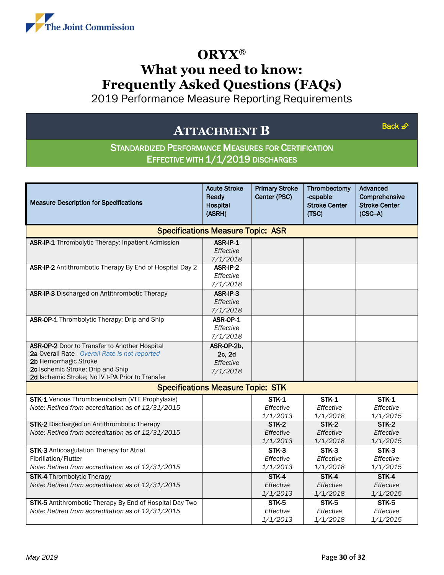<span id="page-29-0"></span>

2019 Performance Measure Reporting Requirements

### **ATTACHMENT B**

[Back](#page-0-0)  $\mathcal{D}$ 

### STANDARDIZED PERFORMANCE MEASURES FOR CERTIFICATION EFFECTIVE WITH 1/1/2019 DISCHARGES

| <b>Measure Description for Specifications</b>                                                                                                                                                                     | <b>Acute Stroke</b><br>Ready<br><b>Hospital</b><br>(ASRH) | <b>Primary Stroke</b><br>Center (PSC) | Thrombectomy<br>-capable<br><b>Stroke Center</b><br>(TSC) | Advanced<br>Comprehensive<br><b>Stroke Center</b><br>$(CSC-A)$ |
|-------------------------------------------------------------------------------------------------------------------------------------------------------------------------------------------------------------------|-----------------------------------------------------------|---------------------------------------|-----------------------------------------------------------|----------------------------------------------------------------|
|                                                                                                                                                                                                                   | <b>Specifications Measure Topic: ASR</b>                  |                                       |                                                           |                                                                |
| ASR-IP-1 Thrombolytic Therapy: Inpatient Admission                                                                                                                                                                | ASR-IP-1<br>Effective<br>7/1/2018                         |                                       |                                                           |                                                                |
| ASR-IP-2 Antithrombotic Therapy By End of Hospital Day 2                                                                                                                                                          | ASR-IP-2<br>Effective<br>7/1/2018                         |                                       |                                                           |                                                                |
| ASR-IP-3 Discharged on Antithrombotic Therapy                                                                                                                                                                     | ASR-IP-3<br>Effective<br>7/1/2018                         |                                       |                                                           |                                                                |
| ASR-OP-1 Thrombolytic Therapy: Drip and Ship                                                                                                                                                                      | ASR-OP-1<br>Effective<br>7/1/2018                         |                                       |                                                           |                                                                |
| ASR-OP-2 Door to Transfer to Another Hospital<br>2a Overall Rate - Overall Rate is not reported<br>2b Hemorrhagic Stroke<br>2c Ischemic Stroke; Drip and Ship<br>2d Ischemic Stroke; No IV t-PA Prior to Transfer | ASR-OP-2b,<br>2c, 2d<br>Effective<br>7/1/2018             |                                       |                                                           |                                                                |
|                                                                                                                                                                                                                   | <b>Specifications Measure Topic: STK</b>                  |                                       |                                                           |                                                                |
| <b>STK-1</b> Venous Thromboembolism (VTE Prophylaxis)<br>Note: Retired from accreditation as of 12/31/2015                                                                                                        |                                                           | <b>STK-1</b><br>Effective<br>1/1/2013 | <b>STK-1</b><br>Effective<br>1/1/2018                     | <b>STK-1</b><br>Effective<br>1/1/2015                          |
| STK-2 Discharged on Antithrombotic Therapy<br>Note: Retired from accreditation as of 12/31/2015                                                                                                                   |                                                           | <b>STK-2</b><br>Effective<br>1/1/2013 | STK-2<br>Effective<br>1/1/2018                            | <b>STK-2</b><br>Effective<br>1/1/2015                          |
| STK-3 Anticoagulation Therapy for Atrial<br>Fibrillation/Flutter<br>Note: Retired from accreditation as of 12/31/2015                                                                                             |                                                           | STK-3<br>Effective<br>1/1/2013        | STK-3<br>Effective<br>1/1/2018                            | STK-3<br>Effective<br>1/1/2015                                 |
| <b>STK-4</b> Thrombolytic Therapy<br>Note: Retired from accreditation as of 12/31/2015                                                                                                                            |                                                           | STK-4<br>Effective<br>1/1/2013        | STK-4<br>Effective<br>1/1/2018                            | STK-4<br>Effective<br>1/1/2015                                 |
| STK-5 Antithrombotic Therapy By End of Hospital Day Two<br>Note: Retired from accreditation as of 12/31/2015                                                                                                      |                                                           | STK-5<br>Effective<br>1/1/2013        | STK-5<br>Effective<br>1/1/2018                            | STK-5<br>Effective<br>1/1/2015                                 |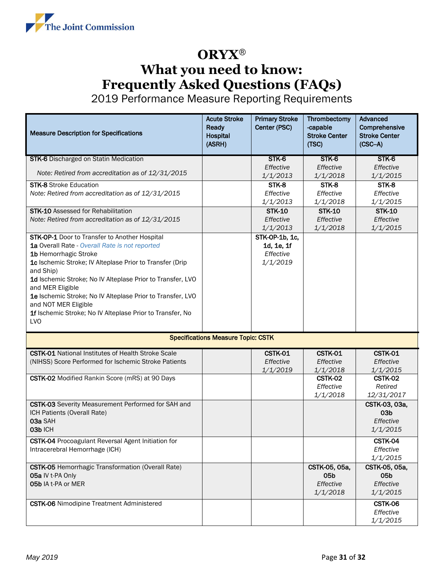

| <b>Measure Description for Specifications</b>                                      | <b>Acute Stroke</b><br>Ready<br>Hospital<br>(ASRH) | <b>Primary Stroke</b><br>Center (PSC) | Thrombectomy<br>-capable<br><b>Stroke Center</b><br>(TSC) | Advanced<br>Comprehensive<br><b>Stroke Center</b><br>$(CSC-A)$ |
|------------------------------------------------------------------------------------|----------------------------------------------------|---------------------------------------|-----------------------------------------------------------|----------------------------------------------------------------|
| <b>STK-6</b> Discharged on Statin Medication                                       |                                                    | STK-6                                 | STK-6                                                     | STK-6<br>Effective                                             |
| Note: Retired from accreditation as of 12/31/2015                                  |                                                    | Effective<br>1/1/2013                 | Effective<br>1/1/2018                                     | 1/1/2015                                                       |
| <b>STK-8</b> Stroke Education                                                      |                                                    | STK-8                                 | STK-8                                                     | STK-8                                                          |
| Note: Retired from accreditation as of 12/31/2015                                  |                                                    | Effective<br>1/1/2013                 | Effective<br>1/1/2018                                     | Effective<br>1/1/2015                                          |
| <b>STK-10</b> Assessed for Rehabilitation                                          |                                                    | <b>STK-10</b>                         | <b>STK-10</b>                                             | <b>STK-10</b>                                                  |
| Note: Retired from accreditation as of 12/31/2015                                  |                                                    | Effective                             | Effective                                                 | Effective                                                      |
| STK-OP-1 Door to Transfer to Another Hospital                                      |                                                    | 1/1/2013<br>STK-OP-1b, 1c,            | 1/1/2018                                                  | 1/1/2015                                                       |
| 1a Overall Rate - Overall Rate is not reported                                     |                                                    | 1d, 1e, 1f                            |                                                           |                                                                |
| 1b Hemorrhagic Stroke                                                              |                                                    | Effective                             |                                                           |                                                                |
| 1c Ischemic Stroke; IV Alteplase Prior to Transfer (Drip<br>and Ship)              |                                                    | 1/1/2019                              |                                                           |                                                                |
| 1d Ischemic Stroke; No IV Alteplase Prior to Transfer, LVO                         |                                                    |                                       |                                                           |                                                                |
| and MER Eligible                                                                   |                                                    |                                       |                                                           |                                                                |
| 1e Ischemic Stroke; No IV Alteplase Prior to Transfer, LVO<br>and NOT MER Eligible |                                                    |                                       |                                                           |                                                                |
| 1f Ischemic Stroke; No IV Alteplase Prior to Transfer, No                          |                                                    |                                       |                                                           |                                                                |
| LV <sub>O</sub>                                                                    |                                                    |                                       |                                                           |                                                                |
|                                                                                    | <b>Specifications Measure Topic: CSTK</b>          |                                       |                                                           |                                                                |
| <b>CSTK-01</b> National Institutes of Health Stroke Scale                          |                                                    | CSTK-01                               | CSTK-01                                                   | CSTK-01                                                        |
| (NIHSS) Score Performed for Ischemic Stroke Patients                               |                                                    | Effective                             | Effective                                                 | Effective                                                      |
|                                                                                    |                                                    | 1/1/2019                              | 1/1/2018                                                  | 1/1/2015                                                       |
| CSTK-02 Modified Rankin Score (mRS) at 90 Days                                     |                                                    |                                       | <b>CSTK-02</b><br>Effective                               | <b>CSTK-02</b><br>Retired                                      |
|                                                                                    |                                                    |                                       | 1/1/2018                                                  | 12/31/2017                                                     |
| CSTK-03 Severity Measurement Performed for SAH and                                 |                                                    |                                       |                                                           | CSTK-03, 03a,                                                  |
| ICH Patients (Overall Rate)<br>03a SAH                                             |                                                    |                                       |                                                           | 03 <sub>b</sub><br>Effective                                   |
| 03b ICH                                                                            |                                                    |                                       |                                                           | 1/1/2015                                                       |
| <b>CSTK-04</b> Procoagulant Reversal Agent Initiation for                          |                                                    |                                       |                                                           | CSTK-04                                                        |
| Intracerebral Hemorrhage (ICH)                                                     |                                                    |                                       |                                                           | Effective                                                      |
| <b>CSTK-05</b> Hemorrhagic Transformation (Overall Rate)                           |                                                    |                                       | CSTK-05, 05a,                                             | 1/1/2015<br>CSTK-05, 05a,                                      |
| 05a IV t-PA Only                                                                   |                                                    |                                       | 05b                                                       | 05 <sub>b</sub>                                                |
| 05b IA t-PA or MER                                                                 |                                                    |                                       | Effective                                                 | Effective                                                      |
|                                                                                    |                                                    |                                       | 1/1/2018                                                  | 1/1/2015                                                       |
| <b>CSTK-06</b> Nimodipine Treatment Administered                                   |                                                    |                                       |                                                           | CSTK-06<br>Effective                                           |
|                                                                                    |                                                    |                                       |                                                           | 1/1/2015                                                       |